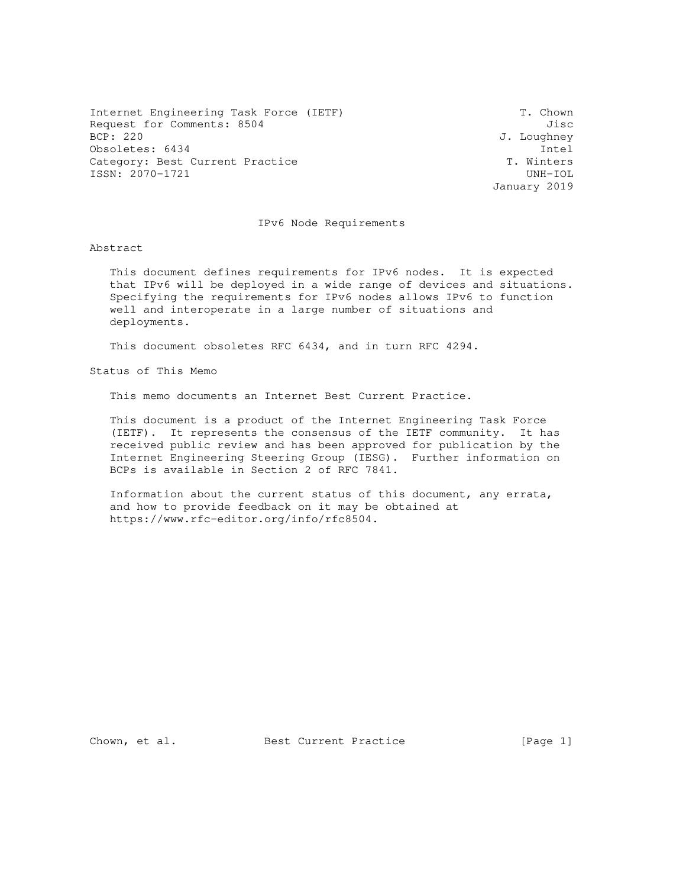Internet Engineering Task Force (IETF) T. Chown Request for Comments: 8504 Jisc BCP: 220 J. Loughney Obsoletes: 6434 Intel<br>Category: Best Current Practice T. Winters Category: Best Current Practice ISSN: 2070-1721 UNH-IOL

January 2019

#### IPv6 Node Requirements

Abstract

 This document defines requirements for IPv6 nodes. It is expected that IPv6 will be deployed in a wide range of devices and situations. Specifying the requirements for IPv6 nodes allows IPv6 to function well and interoperate in a large number of situations and deployments.

This document obsoletes RFC 6434, and in turn RFC 4294.

Status of This Memo

This memo documents an Internet Best Current Practice.

 This document is a product of the Internet Engineering Task Force (IETF). It represents the consensus of the IETF community. It has received public review and has been approved for publication by the Internet Engineering Steering Group (IESG). Further information on BCPs is available in Section 2 of RFC 7841.

 Information about the current status of this document, any errata, and how to provide feedback on it may be obtained at https://www.rfc-editor.org/info/rfc8504.

Chown, et al. Best Current Practice [Page 1]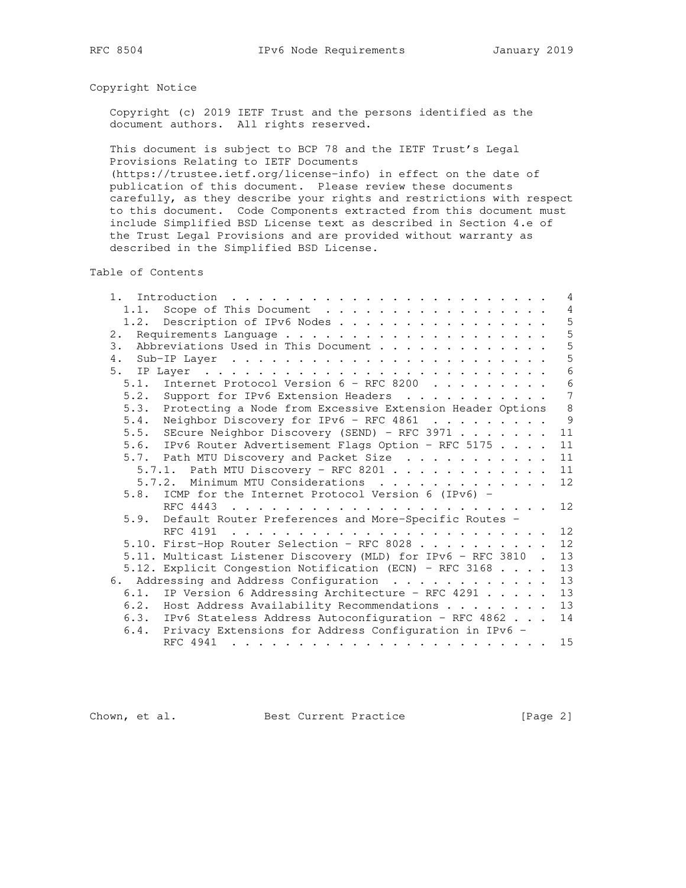# Copyright Notice

 Copyright (c) 2019 IETF Trust and the persons identified as the document authors. All rights reserved.

 This document is subject to BCP 78 and the IETF Trust's Legal Provisions Relating to IETF Documents

 (https://trustee.ietf.org/license-info) in effect on the date of publication of this document. Please review these documents carefully, as they describe your rights and restrictions with respect to this document. Code Components extracted from this document must include Simplified BSD License text as described in Section 4.e of the Trust Legal Provisions and are provided without warranty as described in the Simplified BSD License.

Table of Contents

| 1.   |                                                                                            | 4               |
|------|--------------------------------------------------------------------------------------------|-----------------|
| 1.1. | Scope of This Document                                                                     | $\overline{4}$  |
| 1.2. | Description of IPv6 Nodes                                                                  | 5               |
| 2.   |                                                                                            | 5               |
| 3.   | Abbreviations Used in This Document                                                        | 5               |
| 4.   |                                                                                            | 5               |
| 5.   |                                                                                            | $6\phantom{1}6$ |
| 5.1. | Internet Protocol Version 6 - RFC 8200                                                     | 6               |
|      | 5.2. Support for IPv6 Extension Headers                                                    | $\overline{7}$  |
| 5.3. | Protecting a Node from Excessive Extension Header Options                                  | $\,8\,$         |
| 5.4. | Neighbor Discovery for IPv6 - RFC 4861                                                     | 9               |
|      | 5.5. SEcure Neighbor Discovery (SEND) - RFC 3971                                           | 11              |
|      | 5.6. IPv6 Router Advertisement Flags Option - RFC 5175                                     | 11              |
|      | 5.7. Path MTU Discovery and Packet Size                                                    | 11              |
|      |                                                                                            | 11              |
|      | 5.7.2. Minimum MTU Considerations                                                          | 12              |
|      | 5.8. ICMP for the Internet Protocol Version 6 (IPv6) -                                     |                 |
|      |                                                                                            | 12              |
| 5.9. | Default Router Preferences and More-Specific Routes -                                      |                 |
|      | RFC 4191                                                                                   | 12              |
|      | 5.10. First-Hop Router Selection - RFC 8028                                                | 12              |
|      | 5.11. Multicast Listener Discovery (MLD) for IPv6 - RFC 3810 .                             | 13              |
|      | 5.12. Explicit Congestion Notification (ECN) - RFC 3168                                    | 13              |
|      | 6. Addressing and Address Configuration                                                    | 13              |
|      | 6.1. IP Version 6 Addressing Architecture - RFC 4291                                       | 13              |
|      | 6.2. Host Address Availability Recommendations                                             | 13              |
|      | 6.3. IPv6 Stateless Address Autoconfiguration - RFC 4862                                   | 14              |
| 6.4. | Privacy Extensions for Address Configuration in IPv6 -                                     |                 |
|      | RFC 4941<br>بمناطق والمناطر والمناطر والمناطر والمناطر والمناطر والمناطر والمناطر والمناطر | 15              |

Chown, et al. Best Current Practice [Page 2]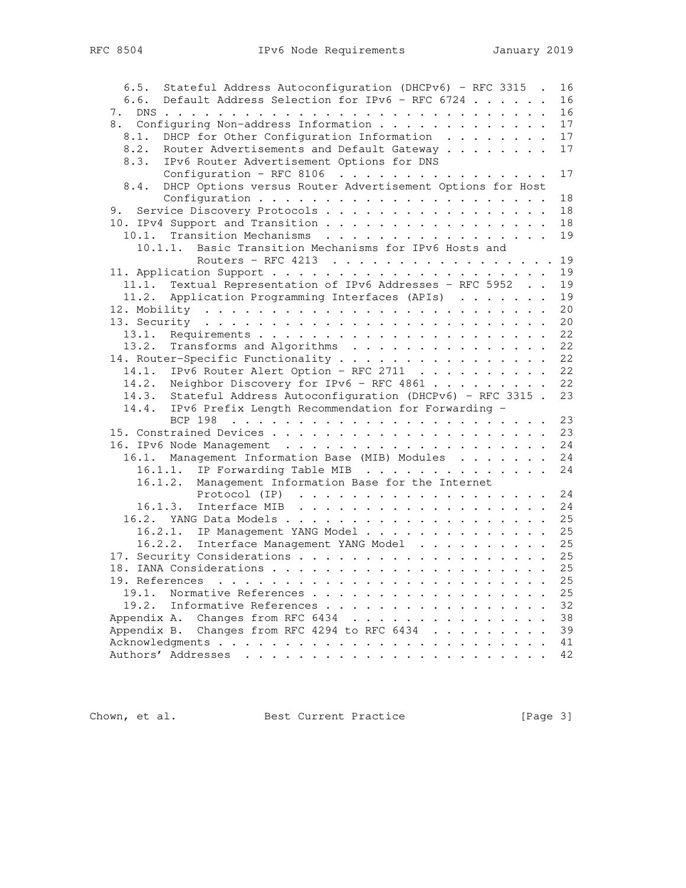| Stateful Address Autoconfiguration (DHCPv6) - RFC 3315 .<br>16<br>6.5. |
|------------------------------------------------------------------------|
| Default Address Selection for IPv6 - RFC 6724<br>16<br>6.6.            |
| 16                                                                     |
| 8. Configuring Non-address Information<br>17                           |
| DHCP for Other Configuration Information<br>17<br>8.1.                 |
| 8.2.<br>Router Advertisements and Default Gateway<br>17                |
| 8.3.<br>IPv6 Router Advertisement Options for DNS                      |
| Configuration - RFC 8106<br>17                                         |
| DHCP Options versus Router Advertisement Options for Host<br>8.4.      |
| 18                                                                     |
| Service Discovery Protocols<br>18<br>9.                                |
| 10. IPv4 Support and Transition<br>18                                  |
| 10.1. Transition Mechanisms<br>19                                      |
| Basic Transition Mechanisms for IPv6 Hosts and<br>10.1.1.              |
| Routers - RFC 4213 19                                                  |
| 19                                                                     |
| Textual Representation of IPv6 Addresses - RFC 5952<br>19<br>11.1.     |
| Application Programming Interfaces (APIs)<br>19<br>11.2.               |
| 20                                                                     |
| 20                                                                     |
| 22<br>13.1.                                                            |
| 13.2. Transforms and Algorithms<br>22                                  |
| 14. Router-Specific Functionality<br>22                                |
| 14.1. IPv6 Router Alert Option - RFC 2711<br>22                        |
| 14.2. Neighbor Discovery for IPv6 - RFC 4861<br>22                     |
| 14.3. Stateful Address Autoconfiguration (DHCPv6) - RFC 3315.<br>23    |
| 14.4. IPv6 Prefix Length Recommendation for Forwarding -               |
| 23                                                                     |
| 23                                                                     |
| 24                                                                     |
| 16.1. Management Information Base (MIB) Modules<br>24                  |
| 24<br>16.1.1. IP Forwarding Table MIB                                  |
| 16.1.2. Management Information Base for the Internet                   |
| 24                                                                     |
| 24<br>16.1.3. Interface MIB $\ldots$                                   |
| 25                                                                     |
| 16.2.1. IP Management YANG Model<br>25                                 |
| 25<br>16.2.2.                                                          |
| Interface Management YANG Model                                        |
| 25                                                                     |
| 25                                                                     |
| 25                                                                     |
| 19.1. Normative References<br>25                                       |
| 32<br>19.2. Informative References                                     |
| Appendix A. Changes from RFC 6434<br>38                                |
| Appendix B. Changes from RFC 4294 to RFC 6434<br>39                    |
| 41                                                                     |
| 42                                                                     |

Chown, et al. Best Current Practice [Page 3]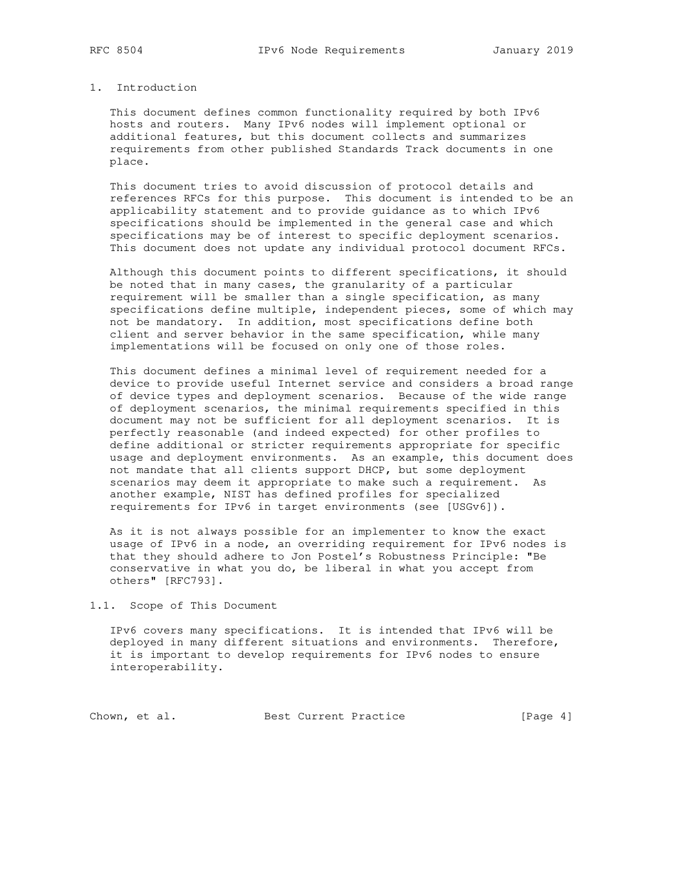## 1. Introduction

 This document defines common functionality required by both IPv6 hosts and routers. Many IPv6 nodes will implement optional or additional features, but this document collects and summarizes requirements from other published Standards Track documents in one place.

 This document tries to avoid discussion of protocol details and references RFCs for this purpose. This document is intended to be an applicability statement and to provide guidance as to which IPv6 specifications should be implemented in the general case and which specifications may be of interest to specific deployment scenarios. This document does not update any individual protocol document RFCs.

 Although this document points to different specifications, it should be noted that in many cases, the granularity of a particular requirement will be smaller than a single specification, as many specifications define multiple, independent pieces, some of which may not be mandatory. In addition, most specifications define both client and server behavior in the same specification, while many implementations will be focused on only one of those roles.

 This document defines a minimal level of requirement needed for a device to provide useful Internet service and considers a broad range of device types and deployment scenarios. Because of the wide range of deployment scenarios, the minimal requirements specified in this document may not be sufficient for all deployment scenarios. It is perfectly reasonable (and indeed expected) for other profiles to define additional or stricter requirements appropriate for specific usage and deployment environments. As an example, this document does not mandate that all clients support DHCP, but some deployment scenarios may deem it appropriate to make such a requirement. As another example, NIST has defined profiles for specialized requirements for IPv6 in target environments (see [USGv6]).

 As it is not always possible for an implementer to know the exact usage of IPv6 in a node, an overriding requirement for IPv6 nodes is that they should adhere to Jon Postel's Robustness Principle: "Be conservative in what you do, be liberal in what you accept from others" [RFC793].

1.1. Scope of This Document

 IPv6 covers many specifications. It is intended that IPv6 will be deployed in many different situations and environments. Therefore, it is important to develop requirements for IPv6 nodes to ensure interoperability.

Chown, et al. Best Current Practice [Page 4]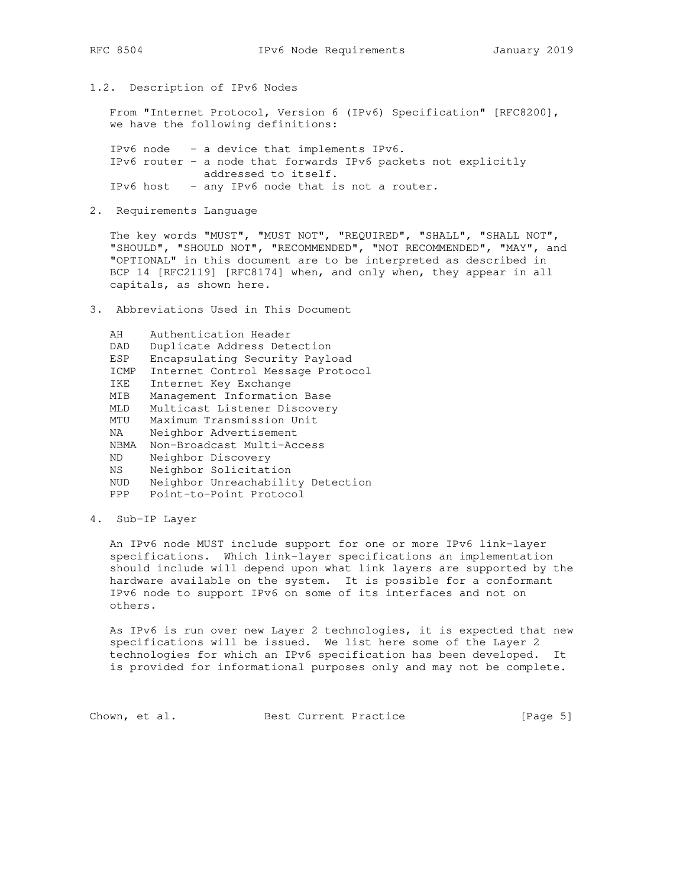1.2. Description of IPv6 Nodes

 From "Internet Protocol, Version 6 (IPv6) Specification" [RFC8200], we have the following definitions:

 IPv6 node - a device that implements IPv6. IPv6 router - a node that forwards IPv6 packets not explicitly addressed to itself. IPv6 host - any IPv6 node that is not a router.

2. Requirements Language

 The key words "MUST", "MUST NOT", "REQUIRED", "SHALL", "SHALL NOT", "SHOULD", "SHOULD NOT", "RECOMMENDED", "NOT RECOMMENDED", "MAY", and "OPTIONAL" in this document are to be interpreted as described in BCP 14 [RFC2119] [RFC8174] when, and only when, they appear in all capitals, as shown here.

3. Abbreviations Used in This Document

```
 AH Authentication Header
  DAD Duplicate Address Detection
  ESP Encapsulating Security Payload
  ICMP Internet Control Message Protocol
  IKE Internet Key Exchange
MIB Management Information Base
MLD Multicast Listener Discovery
  MTU Maximum Transmission Unit
  NA Neighbor Advertisement
  NBMA Non-Broadcast Multi-Access
  ND Neighbor Discovery
  NS Neighbor Solicitation
  NUD Neighbor Unreachability Detection
  PPP Point-to-Point Protocol
```
4. Sub-IP Layer

 An IPv6 node MUST include support for one or more IPv6 link-layer specifications. Which link-layer specifications an implementation should include will depend upon what link layers are supported by the hardware available on the system. It is possible for a conformant IPv6 node to support IPv6 on some of its interfaces and not on others.

 As IPv6 is run over new Layer 2 technologies, it is expected that new specifications will be issued. We list here some of the Layer 2 technologies for which an IPv6 specification has been developed. It is provided for informational purposes only and may not be complete.

Chown, et al. Best Current Practice [Page 5]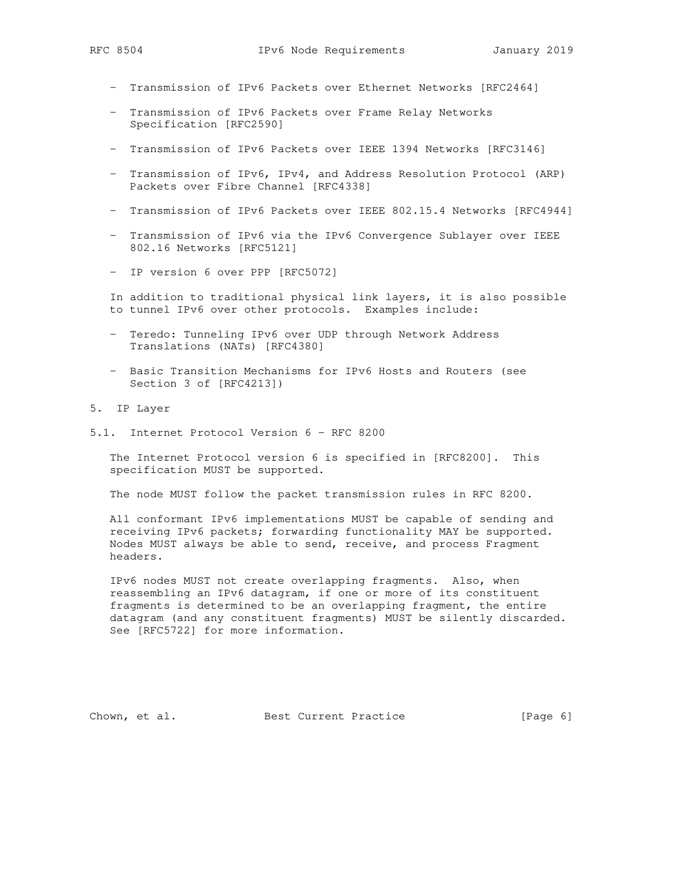- Transmission of IPv6 Packets over Ethernet Networks [RFC2464]
- Transmission of IPv6 Packets over Frame Relay Networks Specification [RFC2590]
- Transmission of IPv6 Packets over IEEE 1394 Networks [RFC3146]
- Transmission of IPv6, IPv4, and Address Resolution Protocol (ARP) Packets over Fibre Channel [RFC4338]
- Transmission of IPv6 Packets over IEEE 802.15.4 Networks [RFC4944]
- Transmission of IPv6 via the IPv6 Convergence Sublayer over IEEE 802.16 Networks [RFC5121]
- IP version 6 over PPP [RFC5072]

 In addition to traditional physical link layers, it is also possible to tunnel IPv6 over other protocols. Examples include:

- Teredo: Tunneling IPv6 over UDP through Network Address Translations (NATs) [RFC4380]
- Basic Transition Mechanisms for IPv6 Hosts and Routers (see Section 3 of [RFC4213])
- 5. IP Layer
- 5.1. Internet Protocol Version 6 RFC 8200

 The Internet Protocol version 6 is specified in [RFC8200]. This specification MUST be supported.

The node MUST follow the packet transmission rules in RFC 8200.

 All conformant IPv6 implementations MUST be capable of sending and receiving IPv6 packets; forwarding functionality MAY be supported. Nodes MUST always be able to send, receive, and process Fragment headers.

 IPv6 nodes MUST not create overlapping fragments. Also, when reassembling an IPv6 datagram, if one or more of its constituent fragments is determined to be an overlapping fragment, the entire datagram (and any constituent fragments) MUST be silently discarded. See [RFC5722] for more information.

Chown, et al. Best Current Practice [Page 6]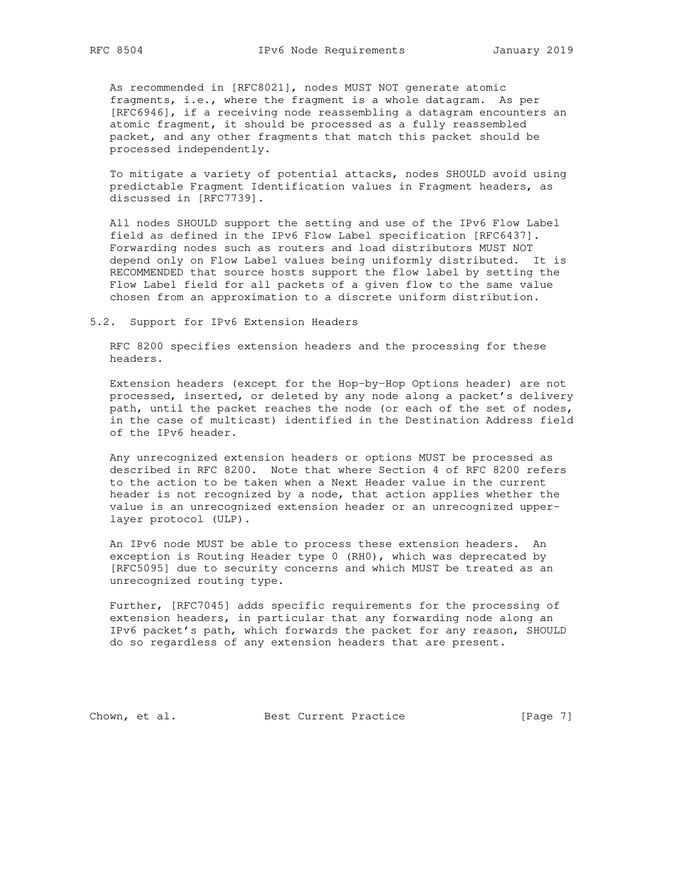As recommended in [RFC8021], nodes MUST NOT generate atomic fragments, i.e., where the fragment is a whole datagram. As per [RFC6946], if a receiving node reassembling a datagram encounters an atomic fragment, it should be processed as a fully reassembled packet, and any other fragments that match this packet should be processed independently.

 To mitigate a variety of potential attacks, nodes SHOULD avoid using predictable Fragment Identification values in Fragment headers, as discussed in [RFC7739].

 All nodes SHOULD support the setting and use of the IPv6 Flow Label field as defined in the IPv6 Flow Label specification [RFC6437]. Forwarding nodes such as routers and load distributors MUST NOT depend only on Flow Label values being uniformly distributed. It is RECOMMENDED that source hosts support the flow label by setting the Flow Label field for all packets of a given flow to the same value chosen from an approximation to a discrete uniform distribution.

5.2. Support for IPv6 Extension Headers

 RFC 8200 specifies extension headers and the processing for these headers.

 Extension headers (except for the Hop-by-Hop Options header) are not processed, inserted, or deleted by any node along a packet's delivery path, until the packet reaches the node (or each of the set of nodes, in the case of multicast) identified in the Destination Address field of the IPv6 header.

 Any unrecognized extension headers or options MUST be processed as described in RFC 8200. Note that where Section 4 of RFC 8200 refers to the action to be taken when a Next Header value in the current header is not recognized by a node, that action applies whether the value is an unrecognized extension header or an unrecognized upper layer protocol (ULP).

 An IPv6 node MUST be able to process these extension headers. An exception is Routing Header type 0 (RH0), which was deprecated by [RFC5095] due to security concerns and which MUST be treated as an unrecognized routing type.

 Further, [RFC7045] adds specific requirements for the processing of extension headers, in particular that any forwarding node along an IPv6 packet's path, which forwards the packet for any reason, SHOULD do so regardless of any extension headers that are present.

Chown, et al. Best Current Practice [Page 7]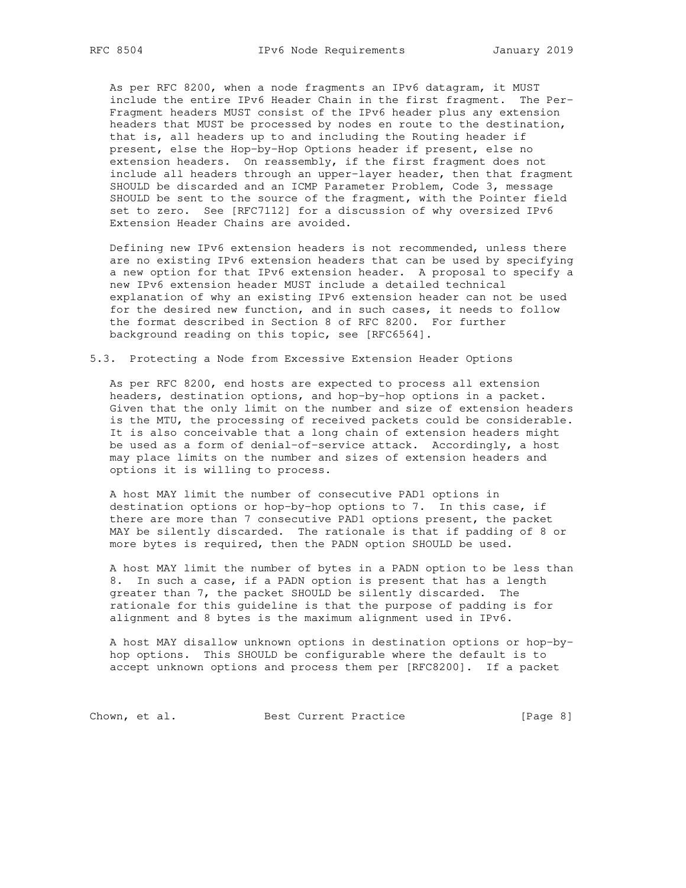As per RFC 8200, when a node fragments an IPv6 datagram, it MUST include the entire IPv6 Header Chain in the first fragment. The Per- Fragment headers MUST consist of the IPv6 header plus any extension headers that MUST be processed by nodes en route to the destination, that is, all headers up to and including the Routing header if present, else the Hop-by-Hop Options header if present, else no extension headers. On reassembly, if the first fragment does not include all headers through an upper-layer header, then that fragment SHOULD be discarded and an ICMP Parameter Problem, Code 3, message SHOULD be sent to the source of the fragment, with the Pointer field set to zero. See [RFC7112] for a discussion of why oversized IPv6 Extension Header Chains are avoided.

 Defining new IPv6 extension headers is not recommended, unless there are no existing IPv6 extension headers that can be used by specifying a new option for that IPv6 extension header. A proposal to specify a new IPv6 extension header MUST include a detailed technical explanation of why an existing IPv6 extension header can not be used for the desired new function, and in such cases, it needs to follow the format described in Section 8 of RFC 8200. For further background reading on this topic, see [RFC6564].

#### 5.3. Protecting a Node from Excessive Extension Header Options

 As per RFC 8200, end hosts are expected to process all extension headers, destination options, and hop-by-hop options in a packet. Given that the only limit on the number and size of extension headers is the MTU, the processing of received packets could be considerable. It is also conceivable that a long chain of extension headers might be used as a form of denial-of-service attack. Accordingly, a host may place limits on the number and sizes of extension headers and options it is willing to process.

 A host MAY limit the number of consecutive PAD1 options in destination options or hop-by-hop options to 7. In this case, if there are more than 7 consecutive PAD1 options present, the packet MAY be silently discarded. The rationale is that if padding of 8 or more bytes is required, then the PADN option SHOULD be used.

 A host MAY limit the number of bytes in a PADN option to be less than 8. In such a case, if a PADN option is present that has a length greater than 7, the packet SHOULD be silently discarded. The rationale for this guideline is that the purpose of padding is for alignment and 8 bytes is the maximum alignment used in IPv6.

 A host MAY disallow unknown options in destination options or hop-by hop options. This SHOULD be configurable where the default is to accept unknown options and process them per [RFC8200]. If a packet

Chown, et al. Best Current Practice [Page 8]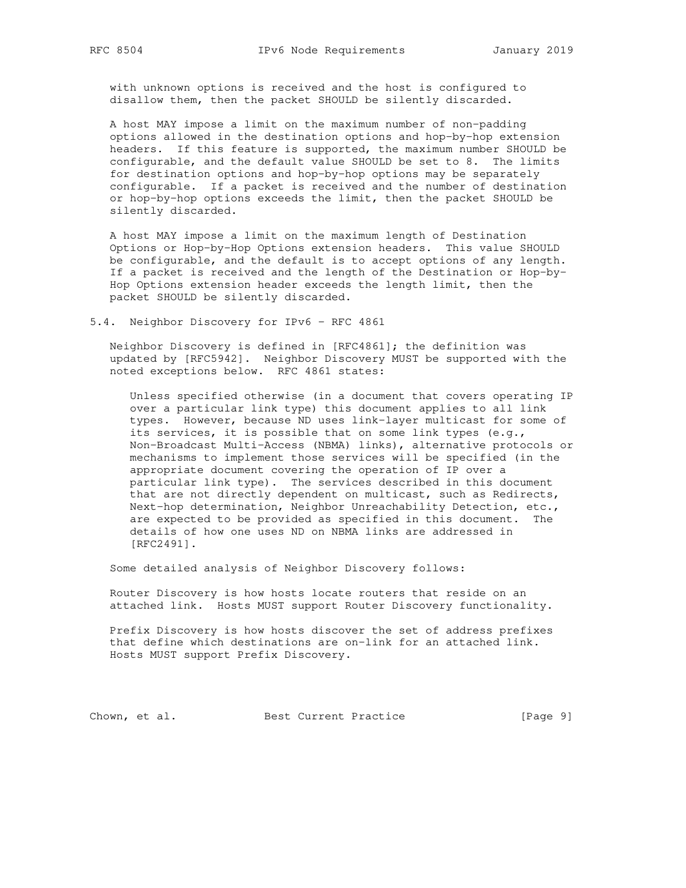with unknown options is received and the host is configured to disallow them, then the packet SHOULD be silently discarded.

 A host MAY impose a limit on the maximum number of non-padding options allowed in the destination options and hop-by-hop extension headers. If this feature is supported, the maximum number SHOULD be configurable, and the default value SHOULD be set to 8. The limits for destination options and hop-by-hop options may be separately configurable. If a packet is received and the number of destination or hop-by-hop options exceeds the limit, then the packet SHOULD be silently discarded.

 A host MAY impose a limit on the maximum length of Destination Options or Hop-by-Hop Options extension headers. This value SHOULD be configurable, and the default is to accept options of any length. If a packet is received and the length of the Destination or Hop-by- Hop Options extension header exceeds the length limit, then the packet SHOULD be silently discarded.

5.4. Neighbor Discovery for IPv6 - RFC 4861

 Neighbor Discovery is defined in [RFC4861]; the definition was updated by [RFC5942]. Neighbor Discovery MUST be supported with the noted exceptions below. RFC 4861 states:

 Unless specified otherwise (in a document that covers operating IP over a particular link type) this document applies to all link types. However, because ND uses link-layer multicast for some of its services, it is possible that on some link types (e.g., Non-Broadcast Multi-Access (NBMA) links), alternative protocols or mechanisms to implement those services will be specified (in the appropriate document covering the operation of IP over a particular link type). The services described in this document that are not directly dependent on multicast, such as Redirects, Next-hop determination, Neighbor Unreachability Detection, etc., are expected to be provided as specified in this document. The details of how one uses ND on NBMA links are addressed in [RFC2491].

Some detailed analysis of Neighbor Discovery follows:

 Router Discovery is how hosts locate routers that reside on an attached link. Hosts MUST support Router Discovery functionality.

 Prefix Discovery is how hosts discover the set of address prefixes that define which destinations are on-link for an attached link. Hosts MUST support Prefix Discovery.

Chown, et al. Best Current Practice [Page 9]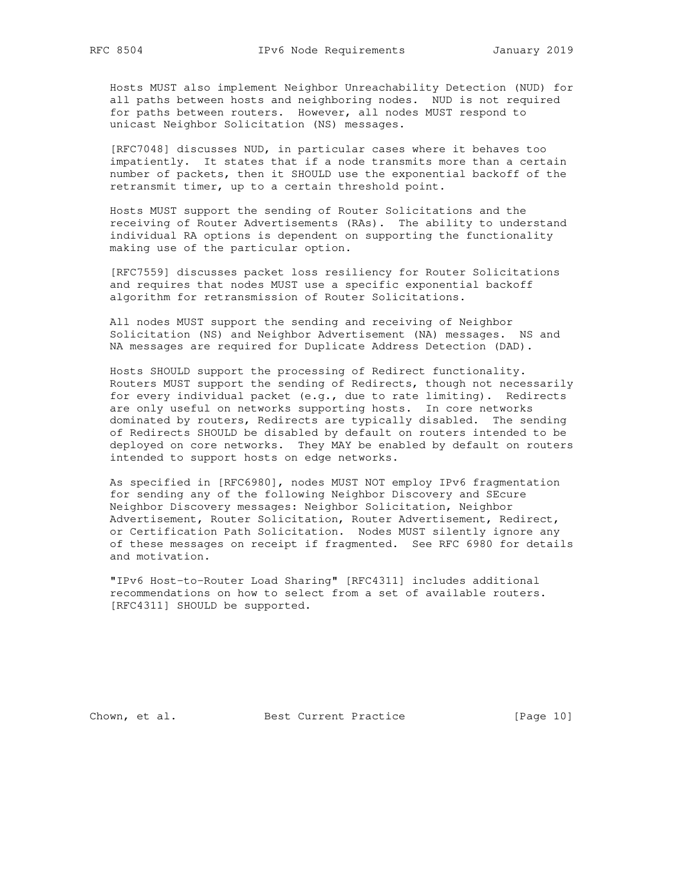Hosts MUST also implement Neighbor Unreachability Detection (NUD) for all paths between hosts and neighboring nodes. NUD is not required for paths between routers. However, all nodes MUST respond to unicast Neighbor Solicitation (NS) messages.

 [RFC7048] discusses NUD, in particular cases where it behaves too impatiently. It states that if a node transmits more than a certain number of packets, then it SHOULD use the exponential backoff of the retransmit timer, up to a certain threshold point.

 Hosts MUST support the sending of Router Solicitations and the receiving of Router Advertisements (RAs). The ability to understand individual RA options is dependent on supporting the functionality making use of the particular option.

 [RFC7559] discusses packet loss resiliency for Router Solicitations and requires that nodes MUST use a specific exponential backoff algorithm for retransmission of Router Solicitations.

 All nodes MUST support the sending and receiving of Neighbor Solicitation (NS) and Neighbor Advertisement (NA) messages. NS and NA messages are required for Duplicate Address Detection (DAD).

 Hosts SHOULD support the processing of Redirect functionality. Routers MUST support the sending of Redirects, though not necessarily for every individual packet (e.g., due to rate limiting). Redirects are only useful on networks supporting hosts. In core networks dominated by routers, Redirects are typically disabled. The sending of Redirects SHOULD be disabled by default on routers intended to be deployed on core networks. They MAY be enabled by default on routers intended to support hosts on edge networks.

 As specified in [RFC6980], nodes MUST NOT employ IPv6 fragmentation for sending any of the following Neighbor Discovery and SEcure Neighbor Discovery messages: Neighbor Solicitation, Neighbor Advertisement, Router Solicitation, Router Advertisement, Redirect, or Certification Path Solicitation. Nodes MUST silently ignore any of these messages on receipt if fragmented. See RFC 6980 for details and motivation.

 "IPv6 Host-to-Router Load Sharing" [RFC4311] includes additional recommendations on how to select from a set of available routers. [RFC4311] SHOULD be supported.

Chown, et al. Best Current Practice [Page 10]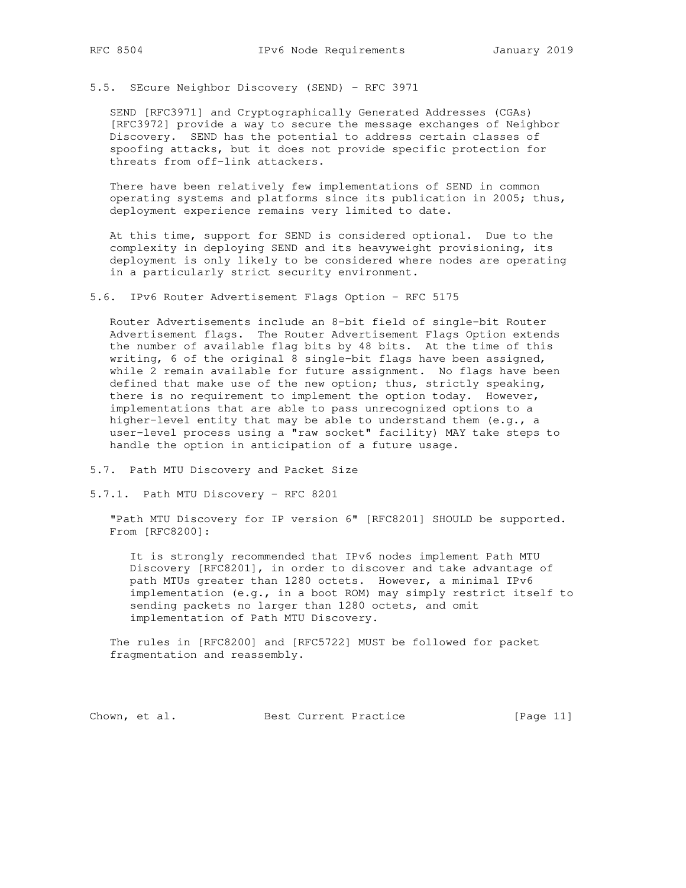5.5. SEcure Neighbor Discovery (SEND) - RFC 3971

 SEND [RFC3971] and Cryptographically Generated Addresses (CGAs) [RFC3972] provide a way to secure the message exchanges of Neighbor Discovery. SEND has the potential to address certain classes of spoofing attacks, but it does not provide specific protection for threats from off-link attackers.

 There have been relatively few implementations of SEND in common operating systems and platforms since its publication in 2005; thus, deployment experience remains very limited to date.

 At this time, support for SEND is considered optional. Due to the complexity in deploying SEND and its heavyweight provisioning, its deployment is only likely to be considered where nodes are operating in a particularly strict security environment.

5.6. IPv6 Router Advertisement Flags Option - RFC 5175

 Router Advertisements include an 8-bit field of single-bit Router Advertisement flags. The Router Advertisement Flags Option extends the number of available flag bits by 48 bits. At the time of this writing, 6 of the original 8 single-bit flags have been assigned, while 2 remain available for future assignment. No flags have been defined that make use of the new option; thus, strictly speaking, there is no requirement to implement the option today. However, implementations that are able to pass unrecognized options to a higher-level entity that may be able to understand them (e.g., a user-level process using a "raw socket" facility) MAY take steps to handle the option in anticipation of a future usage.

5.7. Path MTU Discovery and Packet Size

5.7.1. Path MTU Discovery - RFC 8201

 "Path MTU Discovery for IP version 6" [RFC8201] SHOULD be supported. From [RFC8200]:

 It is strongly recommended that IPv6 nodes implement Path MTU Discovery [RFC8201], in order to discover and take advantage of path MTUs greater than 1280 octets. However, a minimal IPv6 implementation (e.g., in a boot ROM) may simply restrict itself to sending packets no larger than 1280 octets, and omit implementation of Path MTU Discovery.

 The rules in [RFC8200] and [RFC5722] MUST be followed for packet fragmentation and reassembly.

Chown, et al. Best Current Practice [Page 11]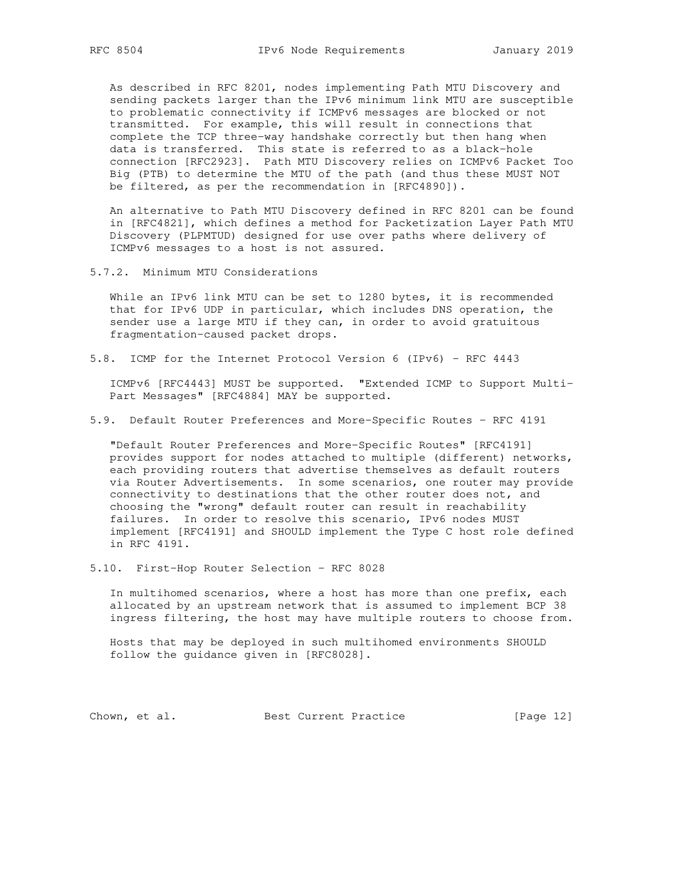As described in RFC 8201, nodes implementing Path MTU Discovery and sending packets larger than the IPv6 minimum link MTU are susceptible to problematic connectivity if ICMPv6 messages are blocked or not transmitted. For example, this will result in connections that complete the TCP three-way handshake correctly but then hang when data is transferred. This state is referred to as a black-hole connection [RFC2923]. Path MTU Discovery relies on ICMPv6 Packet Too Big (PTB) to determine the MTU of the path (and thus these MUST NOT be filtered, as per the recommendation in [RFC4890]).

 An alternative to Path MTU Discovery defined in RFC 8201 can be found in [RFC4821], which defines a method for Packetization Layer Path MTU Discovery (PLPMTUD) designed for use over paths where delivery of ICMPv6 messages to a host is not assured.

5.7.2. Minimum MTU Considerations

 While an IPv6 link MTU can be set to 1280 bytes, it is recommended that for IPv6 UDP in particular, which includes DNS operation, the sender use a large MTU if they can, in order to avoid gratuitous fragmentation-caused packet drops.

5.8. ICMP for the Internet Protocol Version 6 (IPv6) - RFC 4443

 ICMPv6 [RFC4443] MUST be supported. "Extended ICMP to Support Multi- Part Messages" [RFC4884] MAY be supported.

5.9. Default Router Preferences and More-Specific Routes - RFC 4191

 "Default Router Preferences and More-Specific Routes" [RFC4191] provides support for nodes attached to multiple (different) networks, each providing routers that advertise themselves as default routers via Router Advertisements. In some scenarios, one router may provide connectivity to destinations that the other router does not, and choosing the "wrong" default router can result in reachability failures. In order to resolve this scenario, IPv6 nodes MUST implement [RFC4191] and SHOULD implement the Type C host role defined in RFC 4191.

5.10. First-Hop Router Selection - RFC 8028

 In multihomed scenarios, where a host has more than one prefix, each allocated by an upstream network that is assumed to implement BCP 38 ingress filtering, the host may have multiple routers to choose from.

 Hosts that may be deployed in such multihomed environments SHOULD follow the guidance given in [RFC8028].

Chown, et al. Best Current Practice [Page 12]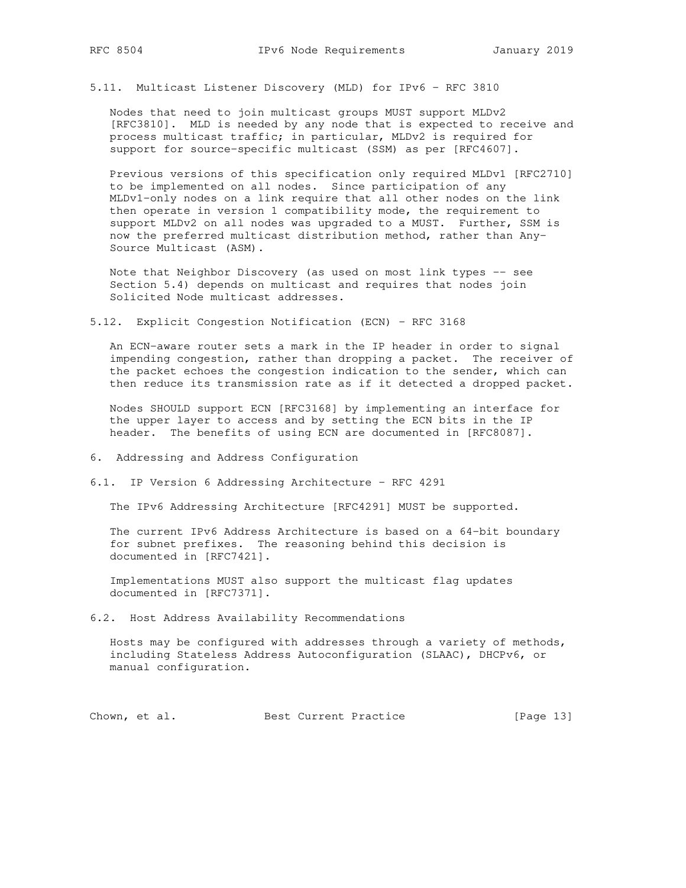5.11. Multicast Listener Discovery (MLD) for IPv6 - RFC 3810

 Nodes that need to join multicast groups MUST support MLDv2 [RFC3810]. MLD is needed by any node that is expected to receive and process multicast traffic; in particular, MLDv2 is required for support for source-specific multicast (SSM) as per [RFC4607].

 Previous versions of this specification only required MLDv1 [RFC2710] to be implemented on all nodes. Since participation of any MLDv1-only nodes on a link require that all other nodes on the link then operate in version 1 compatibility mode, the requirement to support MLDv2 on all nodes was upgraded to a MUST. Further, SSM is now the preferred multicast distribution method, rather than Any- Source Multicast (ASM).

 Note that Neighbor Discovery (as used on most link types -- see Section 5.4) depends on multicast and requires that nodes join Solicited Node multicast addresses.

5.12. Explicit Congestion Notification (ECN) - RFC 3168

 An ECN-aware router sets a mark in the IP header in order to signal impending congestion, rather than dropping a packet. The receiver of the packet echoes the congestion indication to the sender, which can then reduce its transmission rate as if it detected a dropped packet.

 Nodes SHOULD support ECN [RFC3168] by implementing an interface for the upper layer to access and by setting the ECN bits in the IP header. The benefits of using ECN are documented in [RFC8087].

- 6. Addressing and Address Configuration
- 6.1. IP Version 6 Addressing Architecture RFC 4291

The IPv6 Addressing Architecture [RFC4291] MUST be supported.

 The current IPv6 Address Architecture is based on a 64-bit boundary for subnet prefixes. The reasoning behind this decision is documented in [RFC7421].

 Implementations MUST also support the multicast flag updates documented in [RFC7371].

6.2. Host Address Availability Recommendations

 Hosts may be configured with addresses through a variety of methods, including Stateless Address Autoconfiguration (SLAAC), DHCPv6, or manual configuration.

Chown, et al. Best Current Practice [Page 13]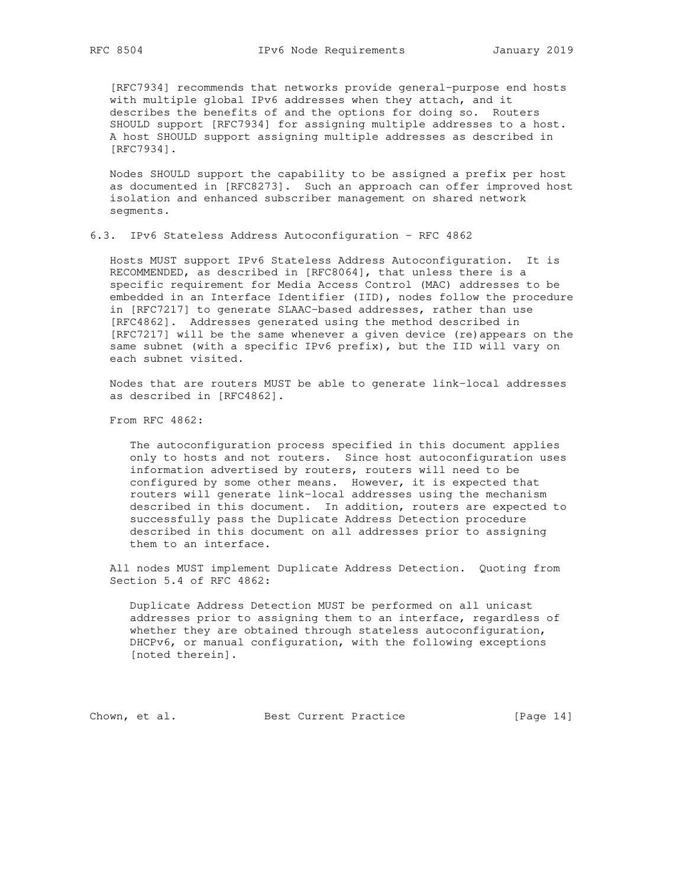[RFC7934] recommends that networks provide general-purpose end hosts with multiple global IPv6 addresses when they attach, and it describes the benefits of and the options for doing so. Routers SHOULD support [RFC7934] for assigning multiple addresses to a host. A host SHOULD support assigning multiple addresses as described in [RFC7934].

 Nodes SHOULD support the capability to be assigned a prefix per host as documented in [RFC8273]. Such an approach can offer improved host isolation and enhanced subscriber management on shared network segments.

6.3. IPv6 Stateless Address Autoconfiguration - RFC 4862

 Hosts MUST support IPv6 Stateless Address Autoconfiguration. It is RECOMMENDED, as described in [RFC8064], that unless there is a specific requirement for Media Access Control (MAC) addresses to be embedded in an Interface Identifier (IID), nodes follow the procedure in [RFC7217] to generate SLAAC-based addresses, rather than use [RFC4862]. Addresses generated using the method described in [RFC7217] will be the same whenever a given device (re)appears on the same subnet (with a specific IPv6 prefix), but the IID will vary on each subnet visited.

 Nodes that are routers MUST be able to generate link-local addresses as described in [RFC4862].

From RFC 4862:

 The autoconfiguration process specified in this document applies only to hosts and not routers. Since host autoconfiguration uses information advertised by routers, routers will need to be configured by some other means. However, it is expected that routers will generate link-local addresses using the mechanism described in this document. In addition, routers are expected to successfully pass the Duplicate Address Detection procedure described in this document on all addresses prior to assigning them to an interface.

 All nodes MUST implement Duplicate Address Detection. Quoting from Section 5.4 of RFC 4862:

 Duplicate Address Detection MUST be performed on all unicast addresses prior to assigning them to an interface, regardless of whether they are obtained through stateless autoconfiguration, DHCPv6, or manual configuration, with the following exceptions [noted therein].

Chown, et al. Best Current Practice [Page 14]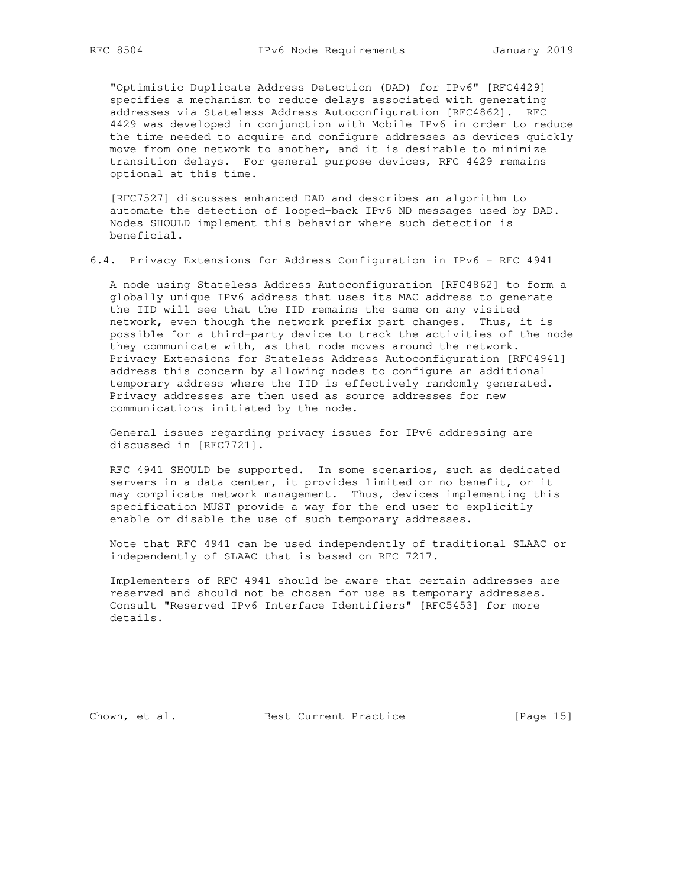"Optimistic Duplicate Address Detection (DAD) for IPv6" [RFC4429] specifies a mechanism to reduce delays associated with generating addresses via Stateless Address Autoconfiguration [RFC4862]. RFC 4429 was developed in conjunction with Mobile IPv6 in order to reduce the time needed to acquire and configure addresses as devices quickly move from one network to another, and it is desirable to minimize transition delays. For general purpose devices, RFC 4429 remains optional at this time.

 [RFC7527] discusses enhanced DAD and describes an algorithm to automate the detection of looped-back IPv6 ND messages used by DAD. Nodes SHOULD implement this behavior where such detection is beneficial.

6.4. Privacy Extensions for Address Configuration in IPv6 - RFC 4941

 A node using Stateless Address Autoconfiguration [RFC4862] to form a globally unique IPv6 address that uses its MAC address to generate the IID will see that the IID remains the same on any visited network, even though the network prefix part changes. Thus, it is possible for a third-party device to track the activities of the node they communicate with, as that node moves around the network. Privacy Extensions for Stateless Address Autoconfiguration [RFC4941] address this concern by allowing nodes to configure an additional temporary address where the IID is effectively randomly generated. Privacy addresses are then used as source addresses for new communications initiated by the node.

 General issues regarding privacy issues for IPv6 addressing are discussed in [RFC7721].

 RFC 4941 SHOULD be supported. In some scenarios, such as dedicated servers in a data center, it provides limited or no benefit, or it may complicate network management. Thus, devices implementing this specification MUST provide a way for the end user to explicitly enable or disable the use of such temporary addresses.

 Note that RFC 4941 can be used independently of traditional SLAAC or independently of SLAAC that is based on RFC 7217.

 Implementers of RFC 4941 should be aware that certain addresses are reserved and should not be chosen for use as temporary addresses. Consult "Reserved IPv6 Interface Identifiers" [RFC5453] for more details.

Chown, et al. Best Current Practice [Page 15]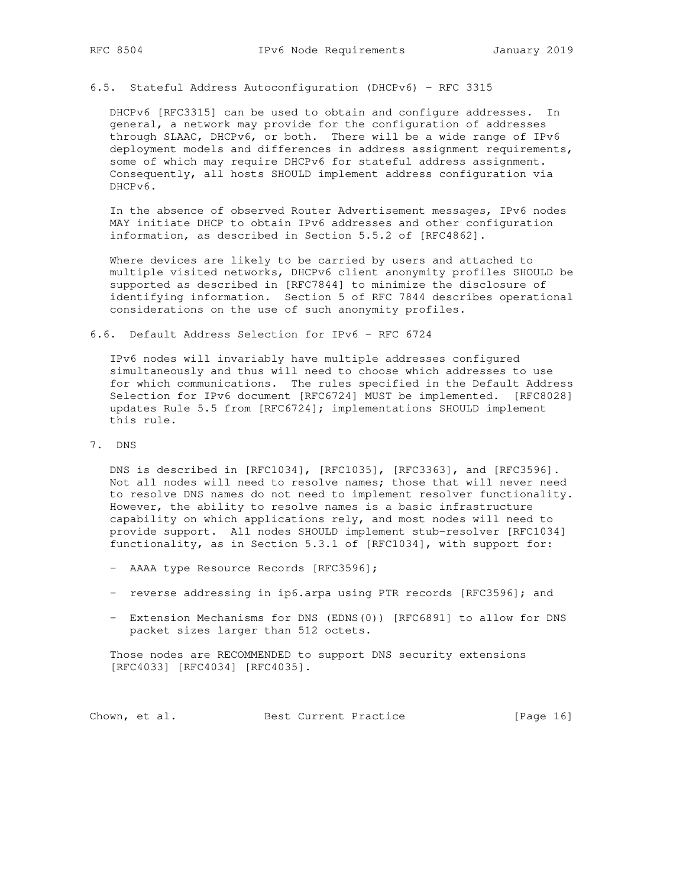# 6.5. Stateful Address Autoconfiguration (DHCPv6) - RFC 3315

 DHCPv6 [RFC3315] can be used to obtain and configure addresses. In general, a network may provide for the configuration of addresses through SLAAC, DHCPv6, or both. There will be a wide range of IPv6 deployment models and differences in address assignment requirements, some of which may require DHCPv6 for stateful address assignment. Consequently, all hosts SHOULD implement address configuration via DHCPv6.

 In the absence of observed Router Advertisement messages, IPv6 nodes MAY initiate DHCP to obtain IPv6 addresses and other configuration information, as described in Section 5.5.2 of [RFC4862].

 Where devices are likely to be carried by users and attached to multiple visited networks, DHCPv6 client anonymity profiles SHOULD be supported as described in [RFC7844] to minimize the disclosure of identifying information. Section 5 of RFC 7844 describes operational considerations on the use of such anonymity profiles.

## 6.6. Default Address Selection for IPv6 - RFC 6724

 IPv6 nodes will invariably have multiple addresses configured simultaneously and thus will need to choose which addresses to use for which communications. The rules specified in the Default Address Selection for IPv6 document [RFC6724] MUST be implemented. [RFC8028] updates Rule 5.5 from [RFC6724]; implementations SHOULD implement this rule.

## 7. DNS

 DNS is described in [RFC1034], [RFC1035], [RFC3363], and [RFC3596]. Not all nodes will need to resolve names; those that will never need to resolve DNS names do not need to implement resolver functionality. However, the ability to resolve names is a basic infrastructure capability on which applications rely, and most nodes will need to provide support. All nodes SHOULD implement stub-resolver [RFC1034] functionality, as in Section 5.3.1 of [RFC1034], with support for:

- AAAA type Resource Records [RFC3596];
- reverse addressing in ip6.arpa using PTR records [RFC3596]; and
- Extension Mechanisms for DNS (EDNS(0)) [RFC6891] to allow for DNS packet sizes larger than 512 octets.

 Those nodes are RECOMMENDED to support DNS security extensions [RFC4033] [RFC4034] [RFC4035].

Chown, et al. Best Current Practice [Page 16]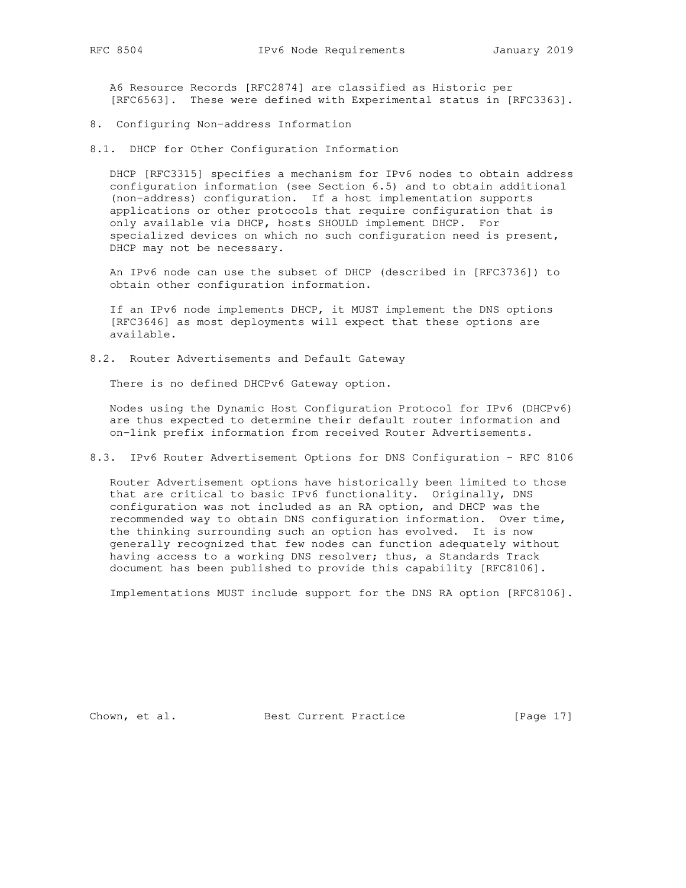A6 Resource Records [RFC2874] are classified as Historic per [RFC6563]. These were defined with Experimental status in [RFC3363].

8. Configuring Non-address Information

8.1. DHCP for Other Configuration Information

 DHCP [RFC3315] specifies a mechanism for IPv6 nodes to obtain address configuration information (see Section 6.5) and to obtain additional (non-address) configuration. If a host implementation supports applications or other protocols that require configuration that is only available via DHCP, hosts SHOULD implement DHCP. For specialized devices on which no such configuration need is present, DHCP may not be necessary.

 An IPv6 node can use the subset of DHCP (described in [RFC3736]) to obtain other configuration information.

 If an IPv6 node implements DHCP, it MUST implement the DNS options [RFC3646] as most deployments will expect that these options are available.

8.2. Router Advertisements and Default Gateway

There is no defined DHCPv6 Gateway option.

 Nodes using the Dynamic Host Configuration Protocol for IPv6 (DHCPv6) are thus expected to determine their default router information and on-link prefix information from received Router Advertisements.

8.3. IPv6 Router Advertisement Options for DNS Configuration - RFC 8106

 Router Advertisement options have historically been limited to those that are critical to basic IPv6 functionality. Originally, DNS configuration was not included as an RA option, and DHCP was the recommended way to obtain DNS configuration information. Over time, the thinking surrounding such an option has evolved. It is now generally recognized that few nodes can function adequately without having access to a working DNS resolver; thus, a Standards Track document has been published to provide this capability [RFC8106].

Implementations MUST include support for the DNS RA option [RFC8106].

Chown, et al. Best Current Practice [Page 17]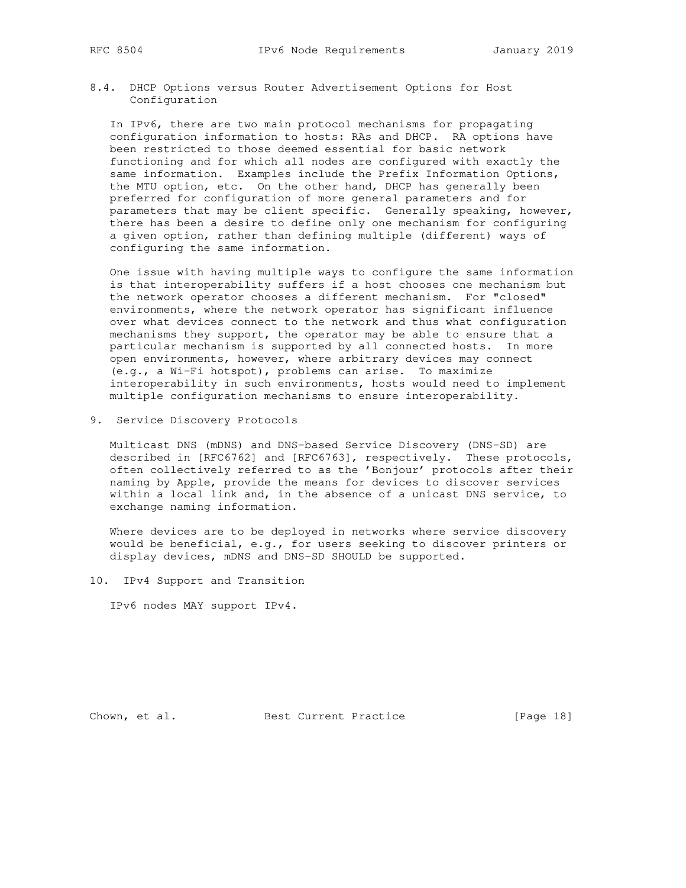8.4. DHCP Options versus Router Advertisement Options for Host Configuration

 In IPv6, there are two main protocol mechanisms for propagating configuration information to hosts: RAs and DHCP. RA options have been restricted to those deemed essential for basic network functioning and for which all nodes are configured with exactly the same information. Examples include the Prefix Information Options, the MTU option, etc. On the other hand, DHCP has generally been preferred for configuration of more general parameters and for parameters that may be client specific. Generally speaking, however, there has been a desire to define only one mechanism for configuring a given option, rather than defining multiple (different) ways of configuring the same information.

 One issue with having multiple ways to configure the same information is that interoperability suffers if a host chooses one mechanism but the network operator chooses a different mechanism. For "closed" environments, where the network operator has significant influence over what devices connect to the network and thus what configuration mechanisms they support, the operator may be able to ensure that a particular mechanism is supported by all connected hosts. In more open environments, however, where arbitrary devices may connect (e.g., a Wi-Fi hotspot), problems can arise. To maximize interoperability in such environments, hosts would need to implement multiple configuration mechanisms to ensure interoperability.

9. Service Discovery Protocols

 Multicast DNS (mDNS) and DNS-based Service Discovery (DNS-SD) are described in [RFC6762] and [RFC6763], respectively. These protocols, often collectively referred to as the 'Bonjour' protocols after their naming by Apple, provide the means for devices to discover services within a local link and, in the absence of a unicast DNS service, to exchange naming information.

 Where devices are to be deployed in networks where service discovery would be beneficial, e.g., for users seeking to discover printers or display devices, mDNS and DNS-SD SHOULD be supported.

10. IPv4 Support and Transition

IPv6 nodes MAY support IPv4.

Chown, et al. Best Current Practice [Page 18]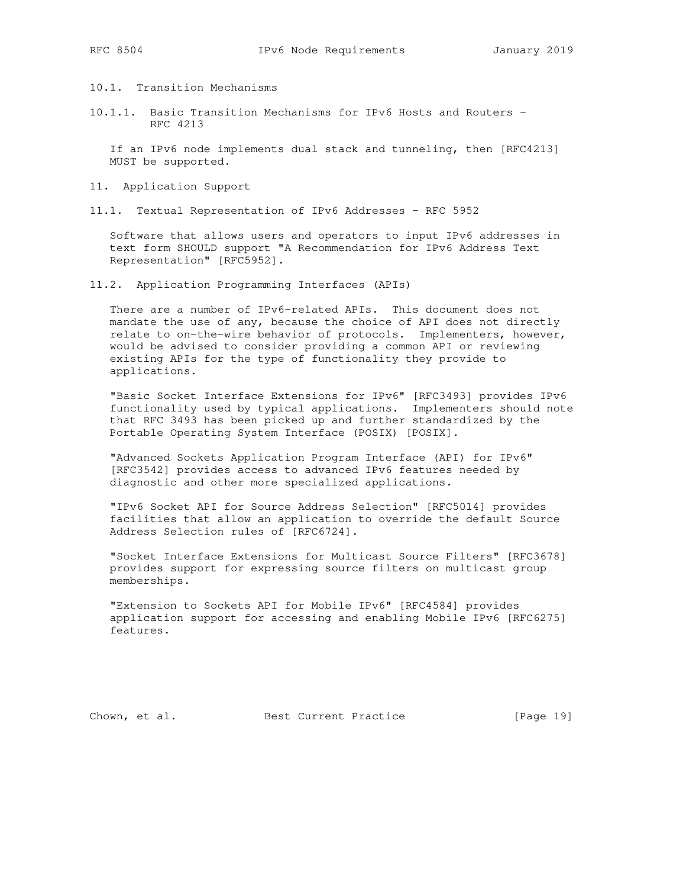10.1. Transition Mechanisms

10.1.1. Basic Transition Mechanisms for IPv6 Hosts and Routers - RFC 4213

 If an IPv6 node implements dual stack and tunneling, then [RFC4213] MUST be supported.

- 11. Application Support
- 11.1. Textual Representation of IPv6 Addresses RFC 5952

 Software that allows users and operators to input IPv6 addresses in text form SHOULD support "A Recommendation for IPv6 Address Text Representation" [RFC5952].

11.2. Application Programming Interfaces (APIs)

 There are a number of IPv6-related APIs. This document does not mandate the use of any, because the choice of API does not directly relate to on-the-wire behavior of protocols. Implementers, however, would be advised to consider providing a common API or reviewing existing APIs for the type of functionality they provide to applications.

 "Basic Socket Interface Extensions for IPv6" [RFC3493] provides IPv6 functionality used by typical applications. Implementers should note that RFC 3493 has been picked up and further standardized by the Portable Operating System Interface (POSIX) [POSIX].

 "Advanced Sockets Application Program Interface (API) for IPv6" [RFC3542] provides access to advanced IPv6 features needed by diagnostic and other more specialized applications.

 "IPv6 Socket API for Source Address Selection" [RFC5014] provides facilities that allow an application to override the default Source Address Selection rules of [RFC6724].

 "Socket Interface Extensions for Multicast Source Filters" [RFC3678] provides support for expressing source filters on multicast group memberships.

 "Extension to Sockets API for Mobile IPv6" [RFC4584] provides application support for accessing and enabling Mobile IPv6 [RFC6275] features.

Chown, et al. Best Current Practice [Page 19]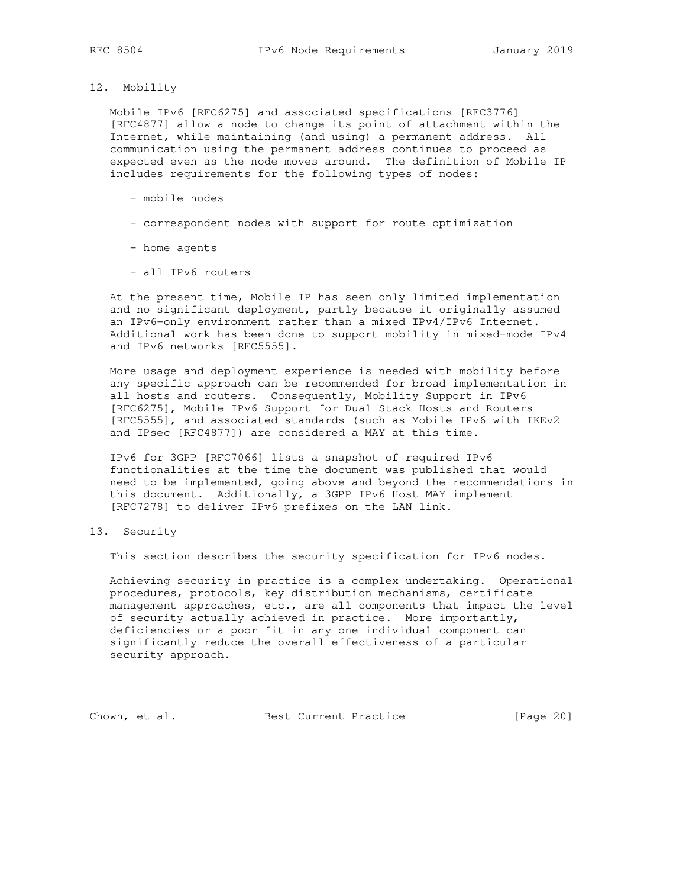12. Mobility

 Mobile IPv6 [RFC6275] and associated specifications [RFC3776] [RFC4877] allow a node to change its point of attachment within the Internet, while maintaining (and using) a permanent address. All communication using the permanent address continues to proceed as expected even as the node moves around. The definition of Mobile IP includes requirements for the following types of nodes:

- mobile nodes
- correspondent nodes with support for route optimization
- home agents
- all IPv6 routers

 At the present time, Mobile IP has seen only limited implementation and no significant deployment, partly because it originally assumed an IPv6-only environment rather than a mixed IPv4/IPv6 Internet. Additional work has been done to support mobility in mixed-mode IPv4 and IPv6 networks [RFC5555].

 More usage and deployment experience is needed with mobility before any specific approach can be recommended for broad implementation in all hosts and routers. Consequently, Mobility Support in IPv6 [RFC6275], Mobile IPv6 Support for Dual Stack Hosts and Routers [RFC5555], and associated standards (such as Mobile IPv6 with IKEv2 and IPsec [RFC4877]) are considered a MAY at this time.

 IPv6 for 3GPP [RFC7066] lists a snapshot of required IPv6 functionalities at the time the document was published that would need to be implemented, going above and beyond the recommendations in this document. Additionally, a 3GPP IPv6 Host MAY implement [RFC7278] to deliver IPv6 prefixes on the LAN link.

13. Security

This section describes the security specification for IPv6 nodes.

 Achieving security in practice is a complex undertaking. Operational procedures, protocols, key distribution mechanisms, certificate management approaches, etc., are all components that impact the level of security actually achieved in practice. More importantly, deficiencies or a poor fit in any one individual component can significantly reduce the overall effectiveness of a particular security approach.

Chown, et al. Best Current Practice [Page 20]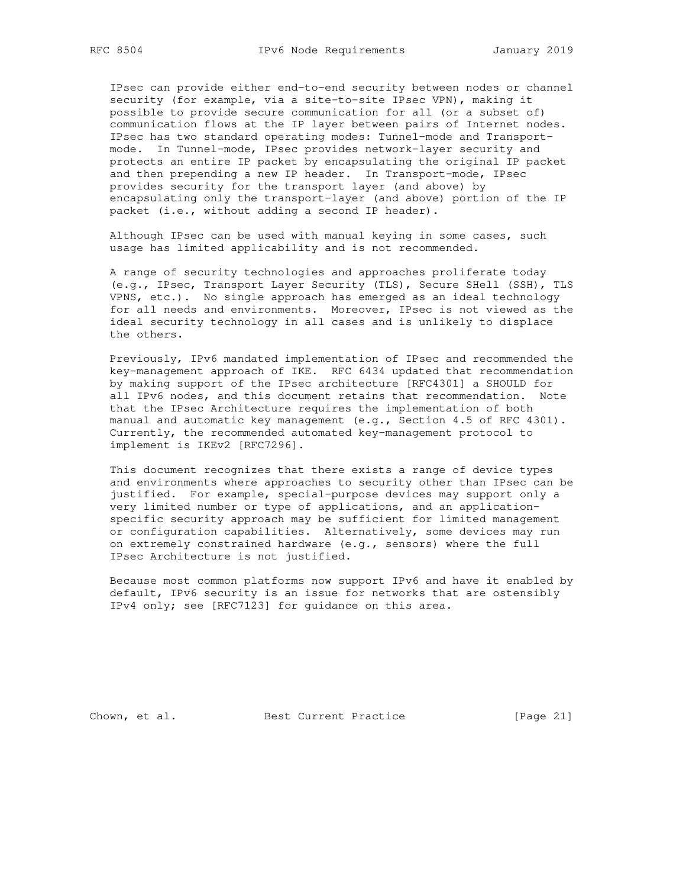IPsec can provide either end-to-end security between nodes or channel security (for example, via a site-to-site IPsec VPN), making it possible to provide secure communication for all (or a subset of) communication flows at the IP layer between pairs of Internet nodes. IPsec has two standard operating modes: Tunnel-mode and Transport mode. In Tunnel-mode, IPsec provides network-layer security and protects an entire IP packet by encapsulating the original IP packet and then prepending a new IP header. In Transport-mode, IPsec provides security for the transport layer (and above) by encapsulating only the transport-layer (and above) portion of the IP packet (i.e., without adding a second IP header).

 Although IPsec can be used with manual keying in some cases, such usage has limited applicability and is not recommended.

 A range of security technologies and approaches proliferate today (e.g., IPsec, Transport Layer Security (TLS), Secure SHell (SSH), TLS VPNS, etc.). No single approach has emerged as an ideal technology for all needs and environments. Moreover, IPsec is not viewed as the ideal security technology in all cases and is unlikely to displace the others.

 Previously, IPv6 mandated implementation of IPsec and recommended the key-management approach of IKE. RFC 6434 updated that recommendation by making support of the IPsec architecture [RFC4301] a SHOULD for all IPv6 nodes, and this document retains that recommendation. Note that the IPsec Architecture requires the implementation of both manual and automatic key management (e.g., Section 4.5 of RFC 4301). Currently, the recommended automated key-management protocol to implement is IKEv2 [RFC7296].

 This document recognizes that there exists a range of device types and environments where approaches to security other than IPsec can be justified. For example, special-purpose devices may support only a very limited number or type of applications, and an application specific security approach may be sufficient for limited management or configuration capabilities. Alternatively, some devices may run on extremely constrained hardware (e.g., sensors) where the full IPsec Architecture is not justified.

 Because most common platforms now support IPv6 and have it enabled by default, IPv6 security is an issue for networks that are ostensibly IPv4 only; see [RFC7123] for guidance on this area.

Chown, et al. Best Current Practice [Page 21]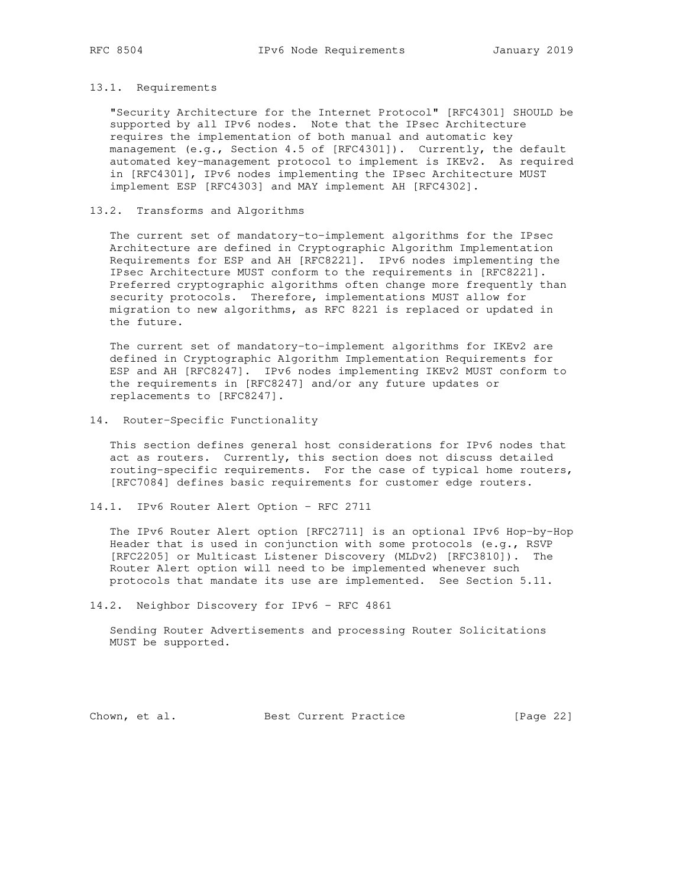#### 13.1. Requirements

 "Security Architecture for the Internet Protocol" [RFC4301] SHOULD be supported by all IPv6 nodes. Note that the IPsec Architecture requires the implementation of both manual and automatic key management (e.g., Section 4.5 of [RFC4301]). Currently, the default automated key-management protocol to implement is IKEv2. As required in [RFC4301], IPv6 nodes implementing the IPsec Architecture MUST implement ESP [RFC4303] and MAY implement AH [RFC4302].

## 13.2. Transforms and Algorithms

 The current set of mandatory-to-implement algorithms for the IPsec Architecture are defined in Cryptographic Algorithm Implementation Requirements for ESP and AH [RFC8221]. IPv6 nodes implementing the IPsec Architecture MUST conform to the requirements in [RFC8221]. Preferred cryptographic algorithms often change more frequently than security protocols. Therefore, implementations MUST allow for migration to new algorithms, as RFC 8221 is replaced or updated in the future.

 The current set of mandatory-to-implement algorithms for IKEv2 are defined in Cryptographic Algorithm Implementation Requirements for ESP and AH [RFC8247]. IPv6 nodes implementing IKEv2 MUST conform to the requirements in [RFC8247] and/or any future updates or replacements to [RFC8247].

14. Router-Specific Functionality

 This section defines general host considerations for IPv6 nodes that act as routers. Currently, this section does not discuss detailed routing-specific requirements. For the case of typical home routers, [RFC7084] defines basic requirements for customer edge routers.

14.1. IPv6 Router Alert Option - RFC 2711

 The IPv6 Router Alert option [RFC2711] is an optional IPv6 Hop-by-Hop Header that is used in conjunction with some protocols (e.g., RSVP [RFC2205] or Multicast Listener Discovery (MLDv2) [RFC3810]). The Router Alert option will need to be implemented whenever such protocols that mandate its use are implemented. See Section 5.11.

14.2. Neighbor Discovery for IPv6 - RFC 4861

 Sending Router Advertisements and processing Router Solicitations MUST be supported.

Chown, et al. Best Current Practice [Page 22]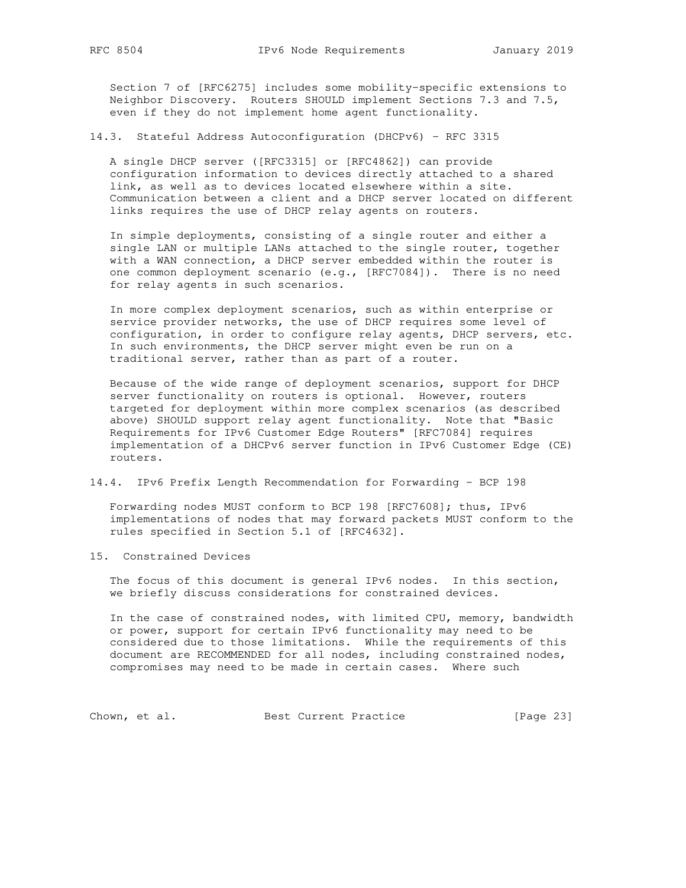Section 7 of [RFC6275] includes some mobility-specific extensions to Neighbor Discovery. Routers SHOULD implement Sections 7.3 and 7.5, even if they do not implement home agent functionality.

14.3. Stateful Address Autoconfiguration (DHCPv6) - RFC 3315

 A single DHCP server ([RFC3315] or [RFC4862]) can provide configuration information to devices directly attached to a shared link, as well as to devices located elsewhere within a site. Communication between a client and a DHCP server located on different links requires the use of DHCP relay agents on routers.

 In simple deployments, consisting of a single router and either a single LAN or multiple LANs attached to the single router, together with a WAN connection, a DHCP server embedded within the router is one common deployment scenario (e.g., [RFC7084]). There is no need for relay agents in such scenarios.

 In more complex deployment scenarios, such as within enterprise or service provider networks, the use of DHCP requires some level of configuration, in order to configure relay agents, DHCP servers, etc. In such environments, the DHCP server might even be run on a traditional server, rather than as part of a router.

 Because of the wide range of deployment scenarios, support for DHCP server functionality on routers is optional. However, routers targeted for deployment within more complex scenarios (as described above) SHOULD support relay agent functionality. Note that "Basic Requirements for IPv6 Customer Edge Routers" [RFC7084] requires implementation of a DHCPv6 server function in IPv6 Customer Edge (CE) routers.

14.4. IPv6 Prefix Length Recommendation for Forwarding - BCP 198

 Forwarding nodes MUST conform to BCP 198 [RFC7608]; thus, IPv6 implementations of nodes that may forward packets MUST conform to the rules specified in Section 5.1 of [RFC4632].

15. Constrained Devices

 The focus of this document is general IPv6 nodes. In this section, we briefly discuss considerations for constrained devices.

 In the case of constrained nodes, with limited CPU, memory, bandwidth or power, support for certain IPv6 functionality may need to be considered due to those limitations. While the requirements of this document are RECOMMENDED for all nodes, including constrained nodes, compromises may need to be made in certain cases. Where such

Chown, et al. Best Current Practice [Page 23]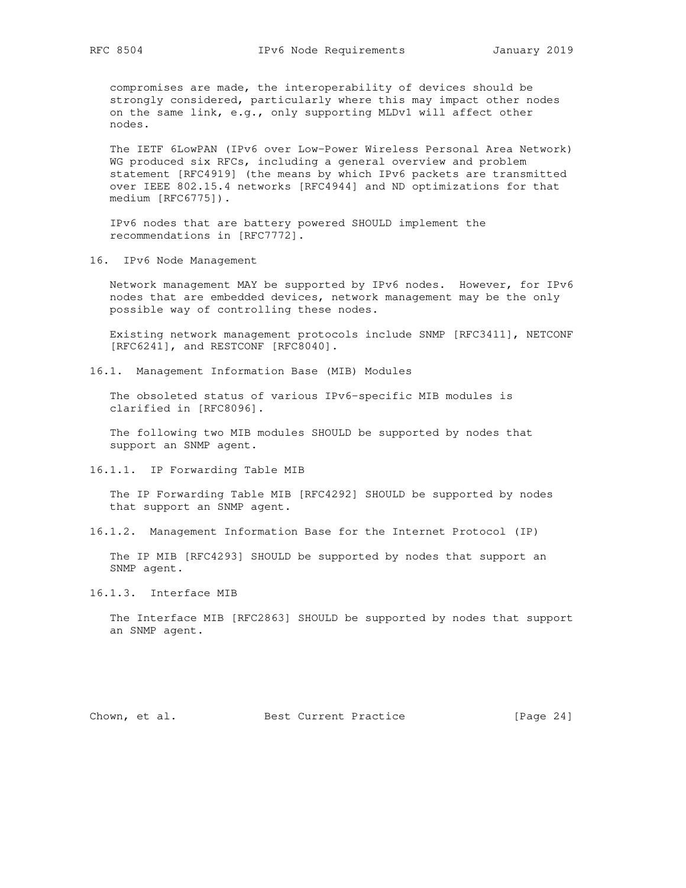compromises are made, the interoperability of devices should be strongly considered, particularly where this may impact other nodes on the same link, e.g., only supporting MLDv1 will affect other nodes.

 The IETF 6LowPAN (IPv6 over Low-Power Wireless Personal Area Network) WG produced six RFCs, including a general overview and problem statement [RFC4919] (the means by which IPv6 packets are transmitted over IEEE 802.15.4 networks [RFC4944] and ND optimizations for that medium [RFC6775]).

 IPv6 nodes that are battery powered SHOULD implement the recommendations in [RFC7772].

16. IPv6 Node Management

 Network management MAY be supported by IPv6 nodes. However, for IPv6 nodes that are embedded devices, network management may be the only possible way of controlling these nodes.

 Existing network management protocols include SNMP [RFC3411], NETCONF [RFC6241], and RESTCONF [RFC8040].

16.1. Management Information Base (MIB) Modules

 The obsoleted status of various IPv6-specific MIB modules is clarified in [RFC8096].

 The following two MIB modules SHOULD be supported by nodes that support an SNMP agent.

16.1.1. IP Forwarding Table MIB

 The IP Forwarding Table MIB [RFC4292] SHOULD be supported by nodes that support an SNMP agent.

16.1.2. Management Information Base for the Internet Protocol (IP)

 The IP MIB [RFC4293] SHOULD be supported by nodes that support an SNMP agent.

16.1.3. Interface MIB

 The Interface MIB [RFC2863] SHOULD be supported by nodes that support an SNMP agent.

Chown, et al. Best Current Practice [Page 24]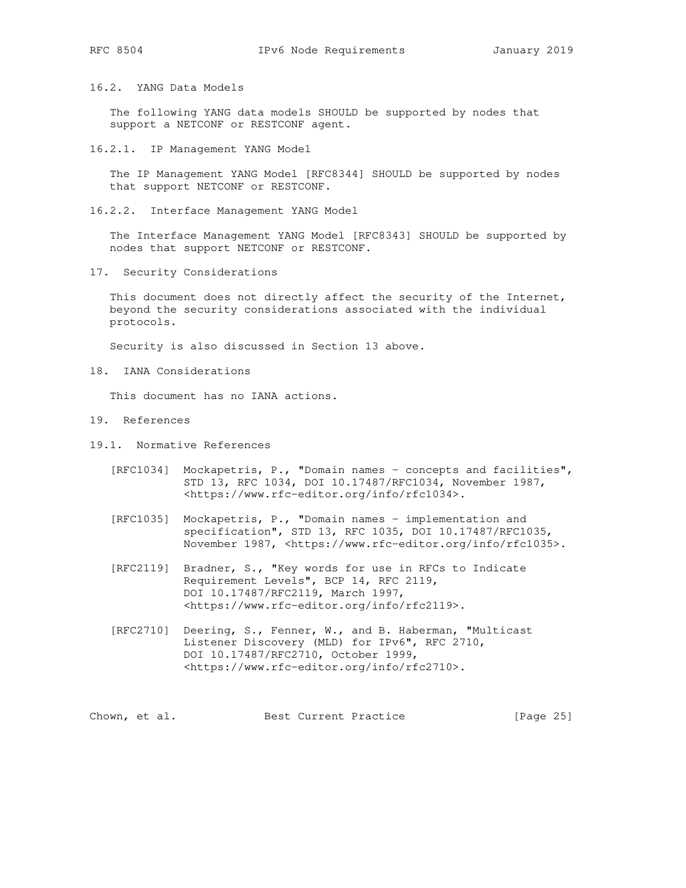16.2. YANG Data Models

 The following YANG data models SHOULD be supported by nodes that support a NETCONF or RESTCONF agent.

16.2.1. IP Management YANG Model

 The IP Management YANG Model [RFC8344] SHOULD be supported by nodes that support NETCONF or RESTCONF.

16.2.2. Interface Management YANG Model

 The Interface Management YANG Model [RFC8343] SHOULD be supported by nodes that support NETCONF or RESTCONF.

17. Security Considerations

 This document does not directly affect the security of the Internet, beyond the security considerations associated with the individual protocols.

Security is also discussed in Section 13 above.

18. IANA Considerations

This document has no IANA actions.

- 19. References
- 19.1. Normative References
	- [RFC1034] Mockapetris, P., "Domain names concepts and facilities", STD 13, RFC 1034, DOI 10.17487/RFC1034, November 1987, <https://www.rfc-editor.org/info/rfc1034>.
	- [RFC1035] Mockapetris, P., "Domain names implementation and specification", STD 13, RFC 1035, DOI 10.17487/RFC1035, November 1987, <https://www.rfc-editor.org/info/rfc1035>.
	- [RFC2119] Bradner, S., "Key words for use in RFCs to Indicate Requirement Levels", BCP 14, RFC 2119, DOI 10.17487/RFC2119, March 1997, <https://www.rfc-editor.org/info/rfc2119>.
	- [RFC2710] Deering, S., Fenner, W., and B. Haberman, "Multicast Listener Discovery (MLD) for IPv6", RFC 2710, DOI 10.17487/RFC2710, October 1999, <https://www.rfc-editor.org/info/rfc2710>.

Chown, et al. Best Current Practice [Page 25]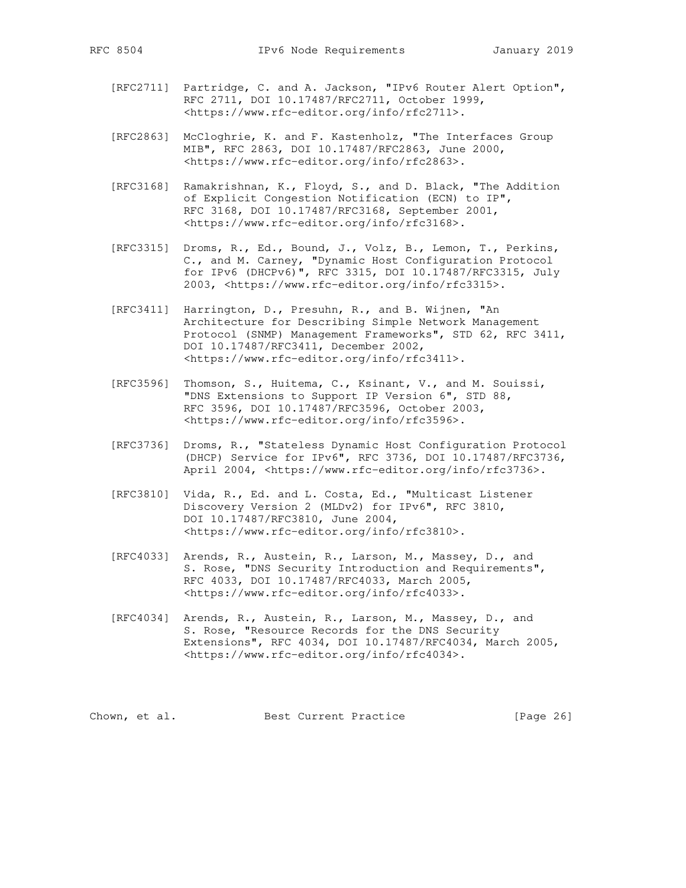- [RFC2711] Partridge, C. and A. Jackson, "IPv6 Router Alert Option", RFC 2711, DOI 10.17487/RFC2711, October 1999, <https://www.rfc-editor.org/info/rfc2711>.
- [RFC2863] McCloghrie, K. and F. Kastenholz, "The Interfaces Group MIB", RFC 2863, DOI 10.17487/RFC2863, June 2000, <https://www.rfc-editor.org/info/rfc2863>.
- [RFC3168] Ramakrishnan, K., Floyd, S., and D. Black, "The Addition of Explicit Congestion Notification (ECN) to IP", RFC 3168, DOI 10.17487/RFC3168, September 2001, <https://www.rfc-editor.org/info/rfc3168>.
- [RFC3315] Droms, R., Ed., Bound, J., Volz, B., Lemon, T., Perkins, C., and M. Carney, "Dynamic Host Configuration Protocol for IPv6 (DHCPv6)", RFC 3315, DOI 10.17487/RFC3315, July 2003, <https://www.rfc-editor.org/info/rfc3315>.
	- [RFC3411] Harrington, D., Presuhn, R., and B. Wijnen, "An Architecture for Describing Simple Network Management Protocol (SNMP) Management Frameworks", STD 62, RFC 3411, DOI 10.17487/RFC3411, December 2002, <https://www.rfc-editor.org/info/rfc3411>.
	- [RFC3596] Thomson, S., Huitema, C., Ksinant, V., and M. Souissi, "DNS Extensions to Support IP Version 6", STD 88, RFC 3596, DOI 10.17487/RFC3596, October 2003, <https://www.rfc-editor.org/info/rfc3596>.
	- [RFC3736] Droms, R., "Stateless Dynamic Host Configuration Protocol (DHCP) Service for IPv6", RFC 3736, DOI 10.17487/RFC3736, April 2004, <https://www.rfc-editor.org/info/rfc3736>.
	- [RFC3810] Vida, R., Ed. and L. Costa, Ed., "Multicast Listener Discovery Version 2 (MLDv2) for IPv6", RFC 3810, DOI 10.17487/RFC3810, June 2004, <https://www.rfc-editor.org/info/rfc3810>.
	- [RFC4033] Arends, R., Austein, R., Larson, M., Massey, D., and S. Rose, "DNS Security Introduction and Requirements", RFC 4033, DOI 10.17487/RFC4033, March 2005, <https://www.rfc-editor.org/info/rfc4033>.
	- [RFC4034] Arends, R., Austein, R., Larson, M., Massey, D., and S. Rose, "Resource Records for the DNS Security Extensions", RFC 4034, DOI 10.17487/RFC4034, March 2005, <https://www.rfc-editor.org/info/rfc4034>.

Chown, et al. Best Current Practice [Page 26]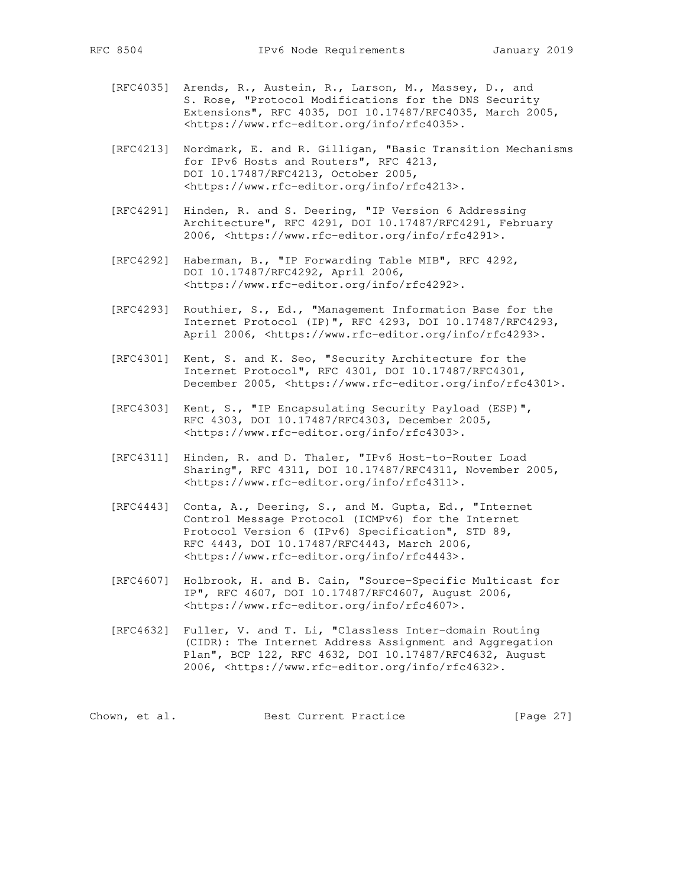- [RFC4035] Arends, R., Austein, R., Larson, M., Massey, D., and S. Rose, "Protocol Modifications for the DNS Security Extensions", RFC 4035, DOI 10.17487/RFC4035, March 2005, <https://www.rfc-editor.org/info/rfc4035>.
- [RFC4213] Nordmark, E. and R. Gilligan, "Basic Transition Mechanisms for IPv6 Hosts and Routers", RFC 4213, DOI 10.17487/RFC4213, October 2005, <https://www.rfc-editor.org/info/rfc4213>.
- [RFC4291] Hinden, R. and S. Deering, "IP Version 6 Addressing Architecture", RFC 4291, DOI 10.17487/RFC4291, February 2006, <https://www.rfc-editor.org/info/rfc4291>.
- [RFC4292] Haberman, B., "IP Forwarding Table MIB", RFC 4292, DOI 10.17487/RFC4292, April 2006, <https://www.rfc-editor.org/info/rfc4292>.
- [RFC4293] Routhier, S., Ed., "Management Information Base for the Internet Protocol (IP)", RFC 4293, DOI 10.17487/RFC4293, April 2006, <https://www.rfc-editor.org/info/rfc4293>.
- [RFC4301] Kent, S. and K. Seo, "Security Architecture for the Internet Protocol", RFC 4301, DOI 10.17487/RFC4301, December 2005, <https://www.rfc-editor.org/info/rfc4301>.
- [RFC4303] Kent, S., "IP Encapsulating Security Payload (ESP)", RFC 4303, DOI 10.17487/RFC4303, December 2005, <https://www.rfc-editor.org/info/rfc4303>.
- [RFC4311] Hinden, R. and D. Thaler, "IPv6 Host-to-Router Load Sharing", RFC 4311, DOI 10.17487/RFC4311, November 2005, <https://www.rfc-editor.org/info/rfc4311>.
- [RFC4443] Conta, A., Deering, S., and M. Gupta, Ed., "Internet Control Message Protocol (ICMPv6) for the Internet Protocol Version 6 (IPv6) Specification", STD 89, RFC 4443, DOI 10.17487/RFC4443, March 2006, <https://www.rfc-editor.org/info/rfc4443>.
- [RFC4607] Holbrook, H. and B. Cain, "Source-Specific Multicast for IP", RFC 4607, DOI 10.17487/RFC4607, August 2006, <https://www.rfc-editor.org/info/rfc4607>.
- [RFC4632] Fuller, V. and T. Li, "Classless Inter-domain Routing (CIDR): The Internet Address Assignment and Aggregation Plan", BCP 122, RFC 4632, DOI 10.17487/RFC4632, August 2006, <https://www.rfc-editor.org/info/rfc4632>.

|  | Chown, et al. | Best Current Practice | [Page 27] |
|--|---------------|-----------------------|-----------|
|--|---------------|-----------------------|-----------|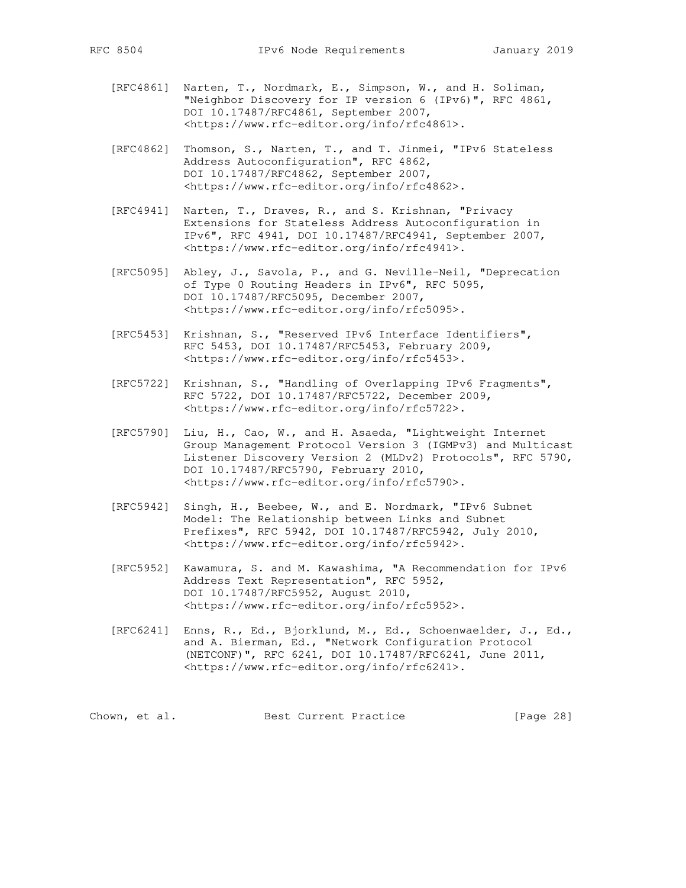- [RFC4861] Narten, T., Nordmark, E., Simpson, W., and H. Soliman, "Neighbor Discovery for IP version 6 (IPv6)", RFC 4861, DOI 10.17487/RFC4861, September 2007, <https://www.rfc-editor.org/info/rfc4861>.
- [RFC4862] Thomson, S., Narten, T., and T. Jinmei, "IPv6 Stateless Address Autoconfiguration", RFC 4862, DOI 10.17487/RFC4862, September 2007, <https://www.rfc-editor.org/info/rfc4862>.
- [RFC4941] Narten, T., Draves, R., and S. Krishnan, "Privacy Extensions for Stateless Address Autoconfiguration in IPv6", RFC 4941, DOI 10.17487/RFC4941, September 2007, <https://www.rfc-editor.org/info/rfc4941>.
- [RFC5095] Abley, J., Savola, P., and G. Neville-Neil, "Deprecation of Type 0 Routing Headers in IPv6", RFC 5095, DOI 10.17487/RFC5095, December 2007, <https://www.rfc-editor.org/info/rfc5095>.
- [RFC5453] Krishnan, S., "Reserved IPv6 Interface Identifiers", RFC 5453, DOI 10.17487/RFC5453, February 2009, <https://www.rfc-editor.org/info/rfc5453>.
- [RFC5722] Krishnan, S., "Handling of Overlapping IPv6 Fragments", RFC 5722, DOI 10.17487/RFC5722, December 2009, <https://www.rfc-editor.org/info/rfc5722>.
- [RFC5790] Liu, H., Cao, W., and H. Asaeda, "Lightweight Internet Group Management Protocol Version 3 (IGMPv3) and Multicast Listener Discovery Version 2 (MLDv2) Protocols", RFC 5790, DOI 10.17487/RFC5790, February 2010, <https://www.rfc-editor.org/info/rfc5790>.
- [RFC5942] Singh, H., Beebee, W., and E. Nordmark, "IPv6 Subnet Model: The Relationship between Links and Subnet Prefixes", RFC 5942, DOI 10.17487/RFC5942, July 2010, <https://www.rfc-editor.org/info/rfc5942>.
- [RFC5952] Kawamura, S. and M. Kawashima, "A Recommendation for IPv6 Address Text Representation", RFC 5952, DOI 10.17487/RFC5952, August 2010, <https://www.rfc-editor.org/info/rfc5952>.
- [RFC6241] Enns, R., Ed., Bjorklund, M., Ed., Schoenwaelder, J., Ed., and A. Bierman, Ed., "Network Configuration Protocol (NETCONF)", RFC 6241, DOI 10.17487/RFC6241, June 2011, <https://www.rfc-editor.org/info/rfc6241>.

Chown, et al. Best Current Practice [Page 28]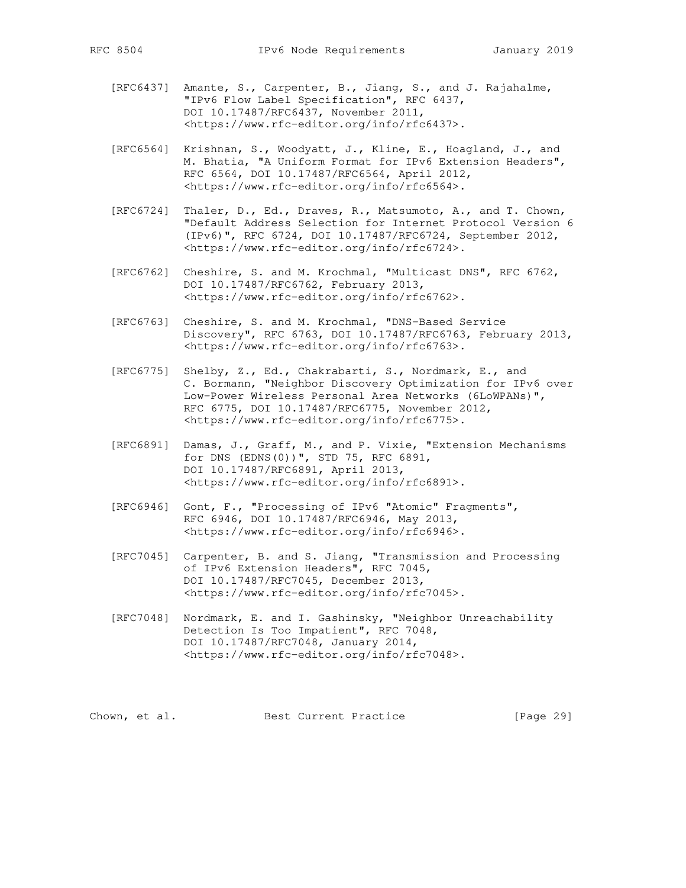- [RFC6437] Amante, S., Carpenter, B., Jiang, S., and J. Rajahalme, "IPv6 Flow Label Specification", RFC 6437, DOI 10.17487/RFC6437, November 2011, <https://www.rfc-editor.org/info/rfc6437>.
- [RFC6564] Krishnan, S., Woodyatt, J., Kline, E., Hoagland, J., and M. Bhatia, "A Uniform Format for IPv6 Extension Headers", RFC 6564, DOI 10.17487/RFC6564, April 2012, <https://www.rfc-editor.org/info/rfc6564>.
- [RFC6724] Thaler, D., Ed., Draves, R., Matsumoto, A., and T. Chown, "Default Address Selection for Internet Protocol Version 6 (IPv6)", RFC 6724, DOI 10.17487/RFC6724, September 2012, <https://www.rfc-editor.org/info/rfc6724>.
- [RFC6762] Cheshire, S. and M. Krochmal, "Multicast DNS", RFC 6762, DOI 10.17487/RFC6762, February 2013, <https://www.rfc-editor.org/info/rfc6762>.
- [RFC6763] Cheshire, S. and M. Krochmal, "DNS-Based Service Discovery", RFC 6763, DOI 10.17487/RFC6763, February 2013, <https://www.rfc-editor.org/info/rfc6763>.
- [RFC6775] Shelby, Z., Ed., Chakrabarti, S., Nordmark, E., and C. Bormann, "Neighbor Discovery Optimization for IPv6 over Low-Power Wireless Personal Area Networks (6LoWPANs)", RFC 6775, DOI 10.17487/RFC6775, November 2012, <https://www.rfc-editor.org/info/rfc6775>.
- [RFC6891] Damas, J., Graff, M., and P. Vixie, "Extension Mechanisms for DNS (EDNS(0))", STD 75, RFC 6891, DOI 10.17487/RFC6891, April 2013, <https://www.rfc-editor.org/info/rfc6891>.
- [RFC6946] Gont, F., "Processing of IPv6 "Atomic" Fragments", RFC 6946, DOI 10.17487/RFC6946, May 2013, <https://www.rfc-editor.org/info/rfc6946>.
- [RFC7045] Carpenter, B. and S. Jiang, "Transmission and Processing of IPv6 Extension Headers", RFC 7045, DOI 10.17487/RFC7045, December 2013, <https://www.rfc-editor.org/info/rfc7045>.
	- [RFC7048] Nordmark, E. and I. Gashinsky, "Neighbor Unreachability Detection Is Too Impatient", RFC 7048, DOI 10.17487/RFC7048, January 2014, <https://www.rfc-editor.org/info/rfc7048>.

Chown, et al. Best Current Practice [Page 29]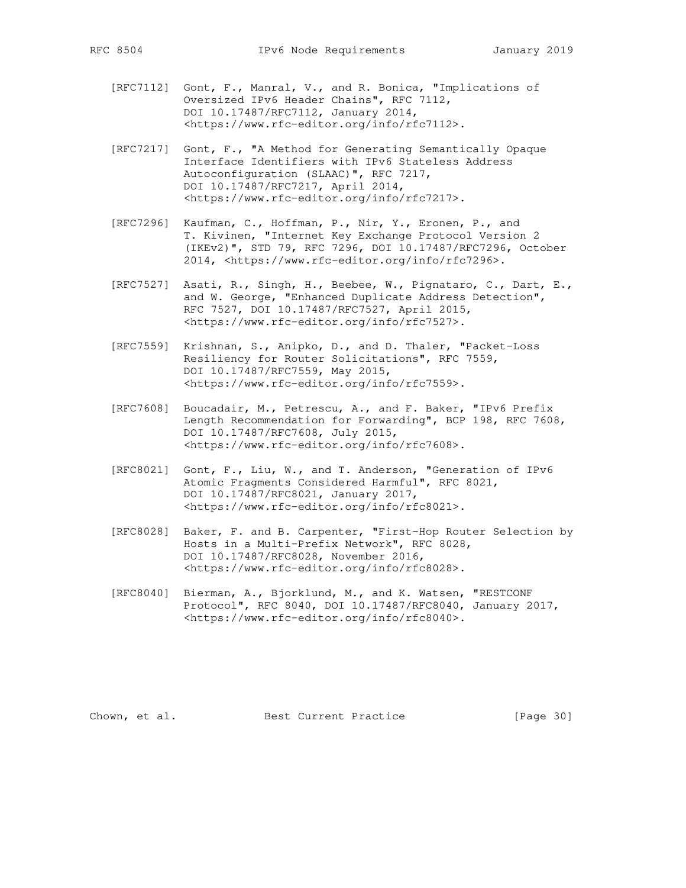- [RFC7112] Gont, F., Manral, V., and R. Bonica, "Implications of Oversized IPv6 Header Chains", RFC 7112, DOI 10.17487/RFC7112, January 2014, <https://www.rfc-editor.org/info/rfc7112>.
- [RFC7217] Gont, F., "A Method for Generating Semantically Opaque Interface Identifiers with IPv6 Stateless Address Autoconfiguration (SLAAC)", RFC 7217, DOI 10.17487/RFC7217, April 2014, <https://www.rfc-editor.org/info/rfc7217>.
- [RFC7296] Kaufman, C., Hoffman, P., Nir, Y., Eronen, P., and T. Kivinen, "Internet Key Exchange Protocol Version 2 (IKEv2)", STD 79, RFC 7296, DOI 10.17487/RFC7296, October 2014, <https://www.rfc-editor.org/info/rfc7296>.
- [RFC7527] Asati, R., Singh, H., Beebee, W., Pignataro, C., Dart, E., and W. George, "Enhanced Duplicate Address Detection", RFC 7527, DOI 10.17487/RFC7527, April 2015, <https://www.rfc-editor.org/info/rfc7527>.
- [RFC7559] Krishnan, S., Anipko, D., and D. Thaler, "Packet-Loss Resiliency for Router Solicitations", RFC 7559, DOI 10.17487/RFC7559, May 2015, <https://www.rfc-editor.org/info/rfc7559>.
- [RFC7608] Boucadair, M., Petrescu, A., and F. Baker, "IPv6 Prefix Length Recommendation for Forwarding", BCP 198, RFC 7608, DOI 10.17487/RFC7608, July 2015, <https://www.rfc-editor.org/info/rfc7608>.
- [RFC8021] Gont, F., Liu, W., and T. Anderson, "Generation of IPv6 Atomic Fragments Considered Harmful", RFC 8021, DOI 10.17487/RFC8021, January 2017, <https://www.rfc-editor.org/info/rfc8021>.
- [RFC8028] Baker, F. and B. Carpenter, "First-Hop Router Selection by Hosts in a Multi-Prefix Network", RFC 8028, DOI 10.17487/RFC8028, November 2016, <https://www.rfc-editor.org/info/rfc8028>.
- [RFC8040] Bierman, A., Bjorklund, M., and K. Watsen, "RESTCONF Protocol", RFC 8040, DOI 10.17487/RFC8040, January 2017, <https://www.rfc-editor.org/info/rfc8040>.

Chown, et al. Best Current Practice [Page 30]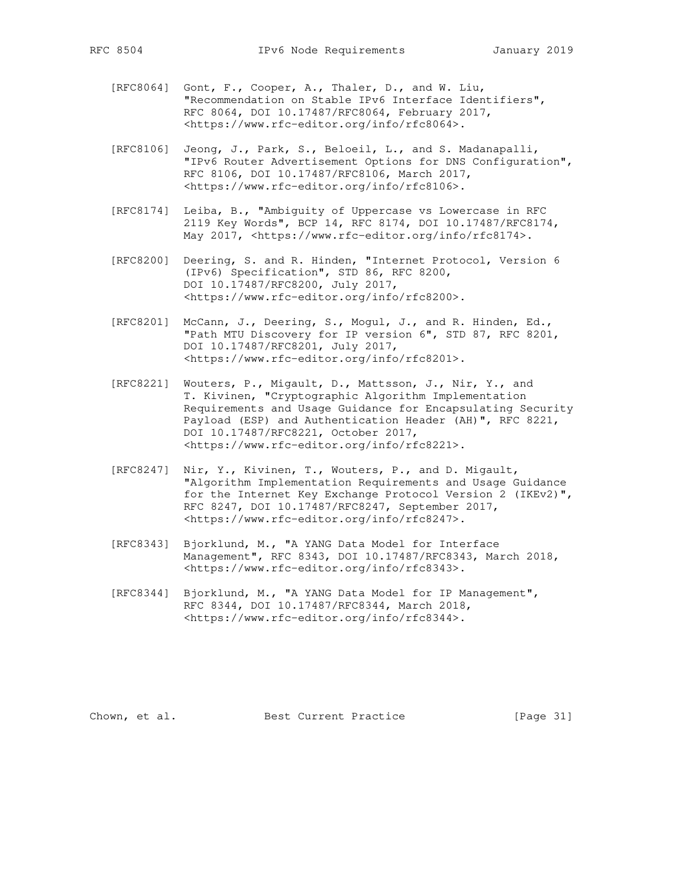- [RFC8064] Gont, F., Cooper, A., Thaler, D., and W. Liu, "Recommendation on Stable IPv6 Interface Identifiers", RFC 8064, DOI 10.17487/RFC8064, February 2017, <https://www.rfc-editor.org/info/rfc8064>.
- [RFC8106] Jeong, J., Park, S., Beloeil, L., and S. Madanapalli, "IPv6 Router Advertisement Options for DNS Configuration", RFC 8106, DOI 10.17487/RFC8106, March 2017, <https://www.rfc-editor.org/info/rfc8106>.
- [RFC8174] Leiba, B., "Ambiguity of Uppercase vs Lowercase in RFC 2119 Key Words", BCP 14, RFC 8174, DOI 10.17487/RFC8174, May 2017, <https://www.rfc-editor.org/info/rfc8174>.
- [RFC8200] Deering, S. and R. Hinden, "Internet Protocol, Version 6 (IPv6) Specification", STD 86, RFC 8200, DOI 10.17487/RFC8200, July 2017, <https://www.rfc-editor.org/info/rfc8200>.
- [RFC8201] McCann, J., Deering, S., Mogul, J., and R. Hinden, Ed., "Path MTU Discovery for IP version 6", STD 87, RFC 8201, DOI 10.17487/RFC8201, July 2017, <https://www.rfc-editor.org/info/rfc8201>.
- [RFC8221] Wouters, P., Migault, D., Mattsson, J., Nir, Y., and T. Kivinen, "Cryptographic Algorithm Implementation Requirements and Usage Guidance for Encapsulating Security Payload (ESP) and Authentication Header (AH)", RFC 8221, DOI 10.17487/RFC8221, October 2017, <https://www.rfc-editor.org/info/rfc8221>.
- [RFC8247] Nir, Y., Kivinen, T., Wouters, P., and D. Migault, "Algorithm Implementation Requirements and Usage Guidance for the Internet Key Exchange Protocol Version 2 (IKEv2)", RFC 8247, DOI 10.17487/RFC8247, September 2017, <https://www.rfc-editor.org/info/rfc8247>.
- [RFC8343] Bjorklund, M., "A YANG Data Model for Interface Management", RFC 8343, DOI 10.17487/RFC8343, March 2018, <https://www.rfc-editor.org/info/rfc8343>.
- [RFC8344] Bjorklund, M., "A YANG Data Model for IP Management", RFC 8344, DOI 10.17487/RFC8344, March 2018, <https://www.rfc-editor.org/info/rfc8344>.

Chown, et al. Best Current Practice [Page 31]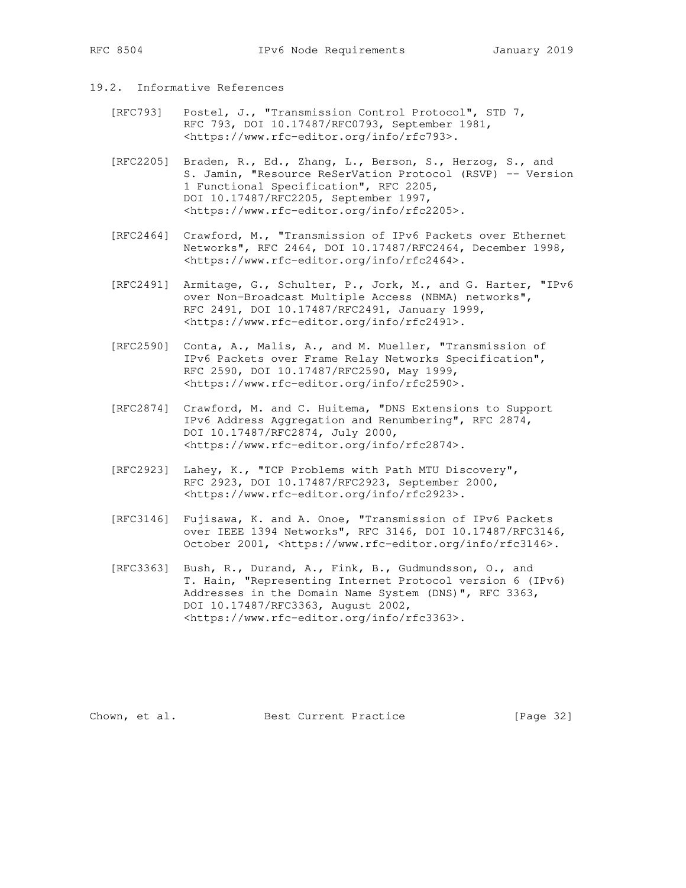## 19.2. Informative References

- [RFC793] Postel, J., "Transmission Control Protocol", STD 7, RFC 793, DOI 10.17487/RFC0793, September 1981, <https://www.rfc-editor.org/info/rfc793>.
- [RFC2205] Braden, R., Ed., Zhang, L., Berson, S., Herzog, S., and S. Jamin, "Resource ReSerVation Protocol (RSVP) -- Version 1 Functional Specification", RFC 2205, DOI 10.17487/RFC2205, September 1997, <https://www.rfc-editor.org/info/rfc2205>.
- [RFC2464] Crawford, M., "Transmission of IPv6 Packets over Ethernet Networks", RFC 2464, DOI 10.17487/RFC2464, December 1998, <https://www.rfc-editor.org/info/rfc2464>.
- [RFC2491] Armitage, G., Schulter, P., Jork, M., and G. Harter, "IPv6 over Non-Broadcast Multiple Access (NBMA) networks", RFC 2491, DOI 10.17487/RFC2491, January 1999, <https://www.rfc-editor.org/info/rfc2491>.
- [RFC2590] Conta, A., Malis, A., and M. Mueller, "Transmission of IPv6 Packets over Frame Relay Networks Specification", RFC 2590, DOI 10.17487/RFC2590, May 1999, <https://www.rfc-editor.org/info/rfc2590>.
- [RFC2874] Crawford, M. and C. Huitema, "DNS Extensions to Support IPv6 Address Aggregation and Renumbering", RFC 2874, DOI 10.17487/RFC2874, July 2000, <https://www.rfc-editor.org/info/rfc2874>.
- [RFC2923] Lahey, K., "TCP Problems with Path MTU Discovery", RFC 2923, DOI 10.17487/RFC2923, September 2000, <https://www.rfc-editor.org/info/rfc2923>.
- [RFC3146] Fujisawa, K. and A. Onoe, "Transmission of IPv6 Packets over IEEE 1394 Networks", RFC 3146, DOI 10.17487/RFC3146, October 2001, <https://www.rfc-editor.org/info/rfc3146>.
- [RFC3363] Bush, R., Durand, A., Fink, B., Gudmundsson, O., and T. Hain, "Representing Internet Protocol version 6 (IPv6) Addresses in the Domain Name System (DNS)", RFC 3363, DOI 10.17487/RFC3363, August 2002, <https://www.rfc-editor.org/info/rfc3363>.

Chown, et al. Best Current Practice [Page 32]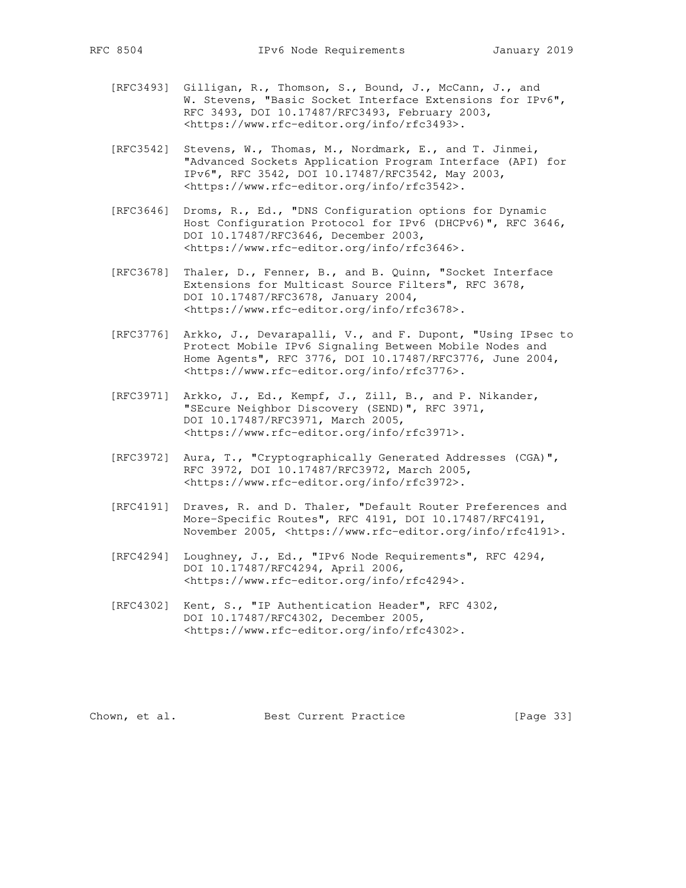- [RFC3493] Gilligan, R., Thomson, S., Bound, J., McCann, J., and W. Stevens, "Basic Socket Interface Extensions for IPv6", RFC 3493, DOI 10.17487/RFC3493, February 2003, <https://www.rfc-editor.org/info/rfc3493>.
- [RFC3542] Stevens, W., Thomas, M., Nordmark, E., and T. Jinmei, "Advanced Sockets Application Program Interface (API) for IPv6", RFC 3542, DOI 10.17487/RFC3542, May 2003, <https://www.rfc-editor.org/info/rfc3542>.
- [RFC3646] Droms, R., Ed., "DNS Configuration options for Dynamic Host Configuration Protocol for IPv6 (DHCPv6)", RFC 3646, DOI 10.17487/RFC3646, December 2003, <https://www.rfc-editor.org/info/rfc3646>.
- [RFC3678] Thaler, D., Fenner, B., and B. Quinn, "Socket Interface Extensions for Multicast Source Filters", RFC 3678, DOI 10.17487/RFC3678, January 2004, <https://www.rfc-editor.org/info/rfc3678>.
- [RFC3776] Arkko, J., Devarapalli, V., and F. Dupont, "Using IPsec to Protect Mobile IPv6 Signaling Between Mobile Nodes and Home Agents", RFC 3776, DOI 10.17487/RFC3776, June 2004, <https://www.rfc-editor.org/info/rfc3776>.
- [RFC3971] Arkko, J., Ed., Kempf, J., Zill, B., and P. Nikander, "SEcure Neighbor Discovery (SEND)", RFC 3971, DOI 10.17487/RFC3971, March 2005, <https://www.rfc-editor.org/info/rfc3971>.
- [RFC3972] Aura, T., "Cryptographically Generated Addresses (CGA)", RFC 3972, DOI 10.17487/RFC3972, March 2005, <https://www.rfc-editor.org/info/rfc3972>.
- [RFC4191] Draves, R. and D. Thaler, "Default Router Preferences and More-Specific Routes", RFC 4191, DOI 10.17487/RFC4191, November 2005, <https://www.rfc-editor.org/info/rfc4191>.
- [RFC4294] Loughney, J., Ed., "IPv6 Node Requirements", RFC 4294, DOI 10.17487/RFC4294, April 2006, <https://www.rfc-editor.org/info/rfc4294>.
- [RFC4302] Kent, S., "IP Authentication Header", RFC 4302, DOI 10.17487/RFC4302, December 2005, <https://www.rfc-editor.org/info/rfc4302>.

Chown, et al. Best Current Practice [Page 33]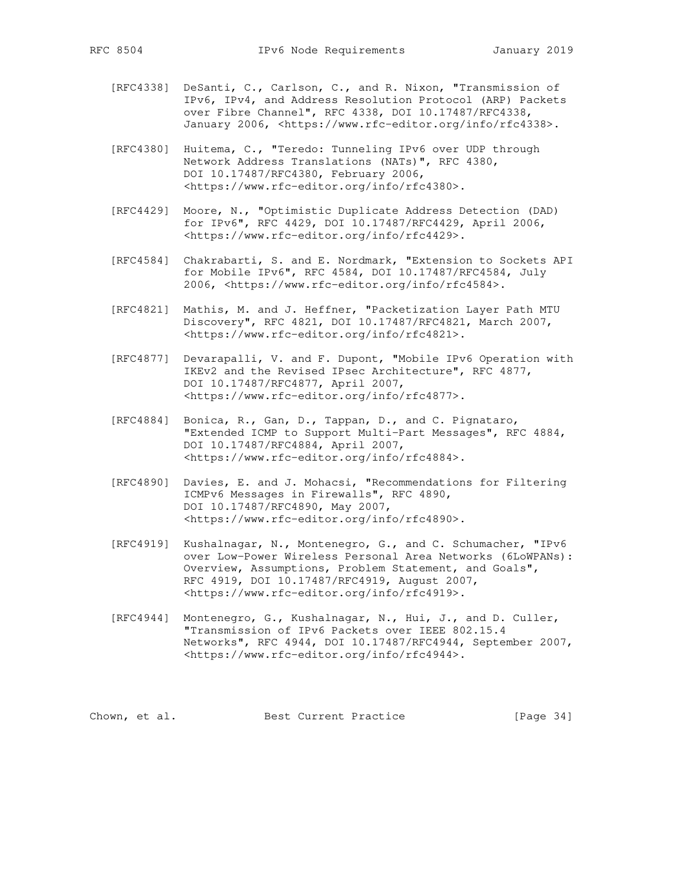- [RFC4338] DeSanti, C., Carlson, C., and R. Nixon, "Transmission of IPv6, IPv4, and Address Resolution Protocol (ARP) Packets over Fibre Channel", RFC 4338, DOI 10.17487/RFC4338, January 2006, <https://www.rfc-editor.org/info/rfc4338>.
- [RFC4380] Huitema, C., "Teredo: Tunneling IPv6 over UDP through Network Address Translations (NATs)", RFC 4380, DOI 10.17487/RFC4380, February 2006, <https://www.rfc-editor.org/info/rfc4380>.
- [RFC4429] Moore, N., "Optimistic Duplicate Address Detection (DAD) for IPv6", RFC 4429, DOI 10.17487/RFC4429, April 2006, <https://www.rfc-editor.org/info/rfc4429>.
- [RFC4584] Chakrabarti, S. and E. Nordmark, "Extension to Sockets API for Mobile IPv6", RFC 4584, DOI 10.17487/RFC4584, July 2006, <https://www.rfc-editor.org/info/rfc4584>.
- [RFC4821] Mathis, M. and J. Heffner, "Packetization Layer Path MTU Discovery", RFC 4821, DOI 10.17487/RFC4821, March 2007, <https://www.rfc-editor.org/info/rfc4821>.
- [RFC4877] Devarapalli, V. and F. Dupont, "Mobile IPv6 Operation with IKEv2 and the Revised IPsec Architecture", RFC 4877, DOI 10.17487/RFC4877, April 2007, <https://www.rfc-editor.org/info/rfc4877>.
- [RFC4884] Bonica, R., Gan, D., Tappan, D., and C. Pignataro, "Extended ICMP to Support Multi-Part Messages", RFC 4884, DOI 10.17487/RFC4884, April 2007, <https://www.rfc-editor.org/info/rfc4884>.
- [RFC4890] Davies, E. and J. Mohacsi, "Recommendations for Filtering ICMPv6 Messages in Firewalls", RFC 4890, DOI 10.17487/RFC4890, May 2007, <https://www.rfc-editor.org/info/rfc4890>.
- [RFC4919] Kushalnagar, N., Montenegro, G., and C. Schumacher, "IPv6 over Low-Power Wireless Personal Area Networks (6LoWPANs): Overview, Assumptions, Problem Statement, and Goals", RFC 4919, DOI 10.17487/RFC4919, August 2007, <https://www.rfc-editor.org/info/rfc4919>.
- [RFC4944] Montenegro, G., Kushalnagar, N., Hui, J., and D. Culler, "Transmission of IPv6 Packets over IEEE 802.15.4 Networks", RFC 4944, DOI 10.17487/RFC4944, September 2007, <https://www.rfc-editor.org/info/rfc4944>.

Chown, et al. Best Current Practice [Page 34]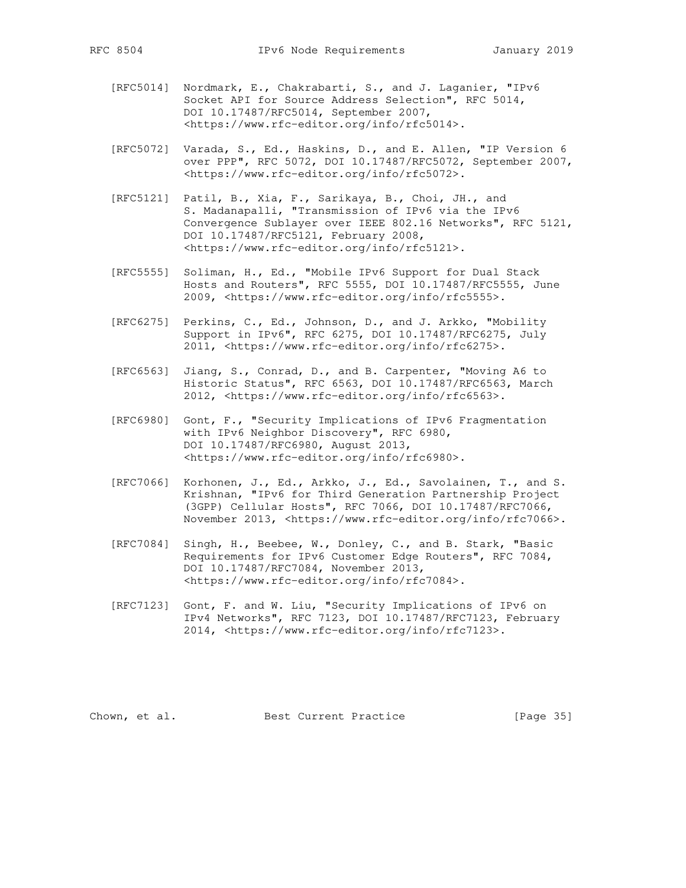- [RFC5014] Nordmark, E., Chakrabarti, S., and J. Laganier, "IPv6 Socket API for Source Address Selection", RFC 5014, DOI 10.17487/RFC5014, September 2007, <https://www.rfc-editor.org/info/rfc5014>.
- [RFC5072] Varada, S., Ed., Haskins, D., and E. Allen, "IP Version 6 over PPP", RFC 5072, DOI 10.17487/RFC5072, September 2007, <https://www.rfc-editor.org/info/rfc5072>.
- [RFC5121] Patil, B., Xia, F., Sarikaya, B., Choi, JH., and S. Madanapalli, "Transmission of IPv6 via the IPv6 Convergence Sublayer over IEEE 802.16 Networks", RFC 5121, DOI 10.17487/RFC5121, February 2008, <https://www.rfc-editor.org/info/rfc5121>.
- [RFC5555] Soliman, H., Ed., "Mobile IPv6 Support for Dual Stack Hosts and Routers", RFC 5555, DOI 10.17487/RFC5555, June 2009, <https://www.rfc-editor.org/info/rfc5555>.
- [RFC6275] Perkins, C., Ed., Johnson, D., and J. Arkko, "Mobility Support in IPv6", RFC 6275, DOI 10.17487/RFC6275, July 2011, <https://www.rfc-editor.org/info/rfc6275>.
- [RFC6563] Jiang, S., Conrad, D., and B. Carpenter, "Moving A6 to Historic Status", RFC 6563, DOI 10.17487/RFC6563, March 2012, <https://www.rfc-editor.org/info/rfc6563>.
- [RFC6980] Gont, F., "Security Implications of IPv6 Fragmentation with IPv6 Neighbor Discovery", RFC 6980, DOI 10.17487/RFC6980, August 2013, <https://www.rfc-editor.org/info/rfc6980>.
- [RFC7066] Korhonen, J., Ed., Arkko, J., Ed., Savolainen, T., and S. Krishnan, "IPv6 for Third Generation Partnership Project (3GPP) Cellular Hosts", RFC 7066, DOI 10.17487/RFC7066, November 2013, <https://www.rfc-editor.org/info/rfc7066>.
- [RFC7084] Singh, H., Beebee, W., Donley, C., and B. Stark, "Basic Requirements for IPv6 Customer Edge Routers", RFC 7084, DOI 10.17487/RFC7084, November 2013, <https://www.rfc-editor.org/info/rfc7084>.
- [RFC7123] Gont, F. and W. Liu, "Security Implications of IPv6 on IPv4 Networks", RFC 7123, DOI 10.17487/RFC7123, February 2014, <https://www.rfc-editor.org/info/rfc7123>.

Chown, et al. Best Current Practice [Page 35]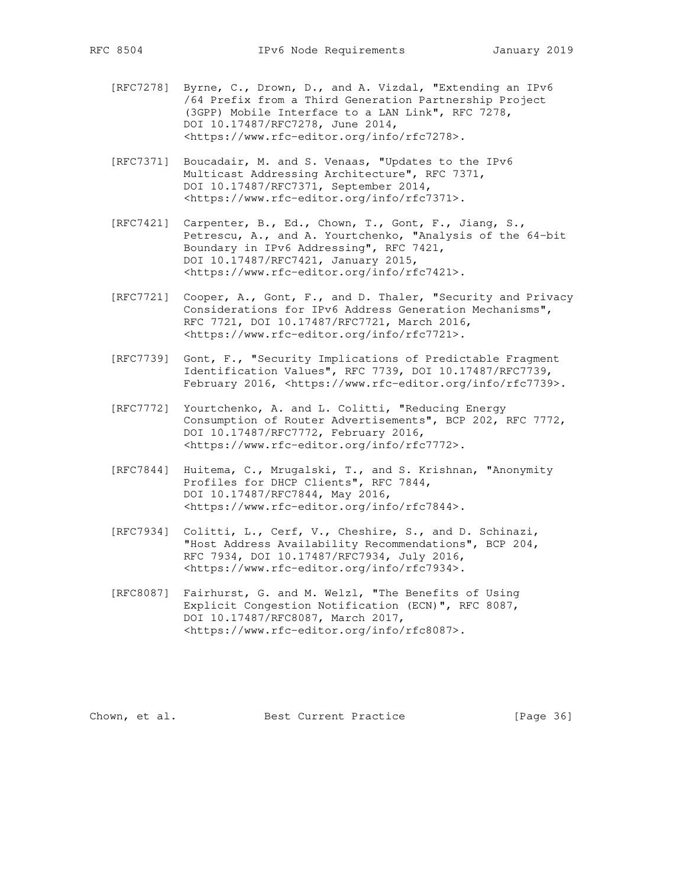- [RFC7278] Byrne, C., Drown, D., and A. Vizdal, "Extending an IPv6 /64 Prefix from a Third Generation Partnership Project (3GPP) Mobile Interface to a LAN Link", RFC 7278, DOI 10.17487/RFC7278, June 2014, <https://www.rfc-editor.org/info/rfc7278>.
- [RFC7371] Boucadair, M. and S. Venaas, "Updates to the IPv6 Multicast Addressing Architecture", RFC 7371, DOI 10.17487/RFC7371, September 2014, <https://www.rfc-editor.org/info/rfc7371>.
- [RFC7421] Carpenter, B., Ed., Chown, T., Gont, F., Jiang, S., Petrescu, A., and A. Yourtchenko, "Analysis of the 64-bit Boundary in IPv6 Addressing", RFC 7421, DOI 10.17487/RFC7421, January 2015, <https://www.rfc-editor.org/info/rfc7421>.
- [RFC7721] Cooper, A., Gont, F., and D. Thaler, "Security and Privacy Considerations for IPv6 Address Generation Mechanisms", RFC 7721, DOI 10.17487/RFC7721, March 2016, <https://www.rfc-editor.org/info/rfc7721>.
- [RFC7739] Gont, F., "Security Implications of Predictable Fragment Identification Values", RFC 7739, DOI 10.17487/RFC7739, February 2016, <https://www.rfc-editor.org/info/rfc7739>.
- [RFC7772] Yourtchenko, A. and L. Colitti, "Reducing Energy Consumption of Router Advertisements", BCP 202, RFC 7772, DOI 10.17487/RFC7772, February 2016, <https://www.rfc-editor.org/info/rfc7772>.
- [RFC7844] Huitema, C., Mrugalski, T., and S. Krishnan, "Anonymity Profiles for DHCP Clients", RFC 7844, DOI 10.17487/RFC7844, May 2016, <https://www.rfc-editor.org/info/rfc7844>.
- [RFC7934] Colitti, L., Cerf, V., Cheshire, S., and D. Schinazi, "Host Address Availability Recommendations", BCP 204, RFC 7934, DOI 10.17487/RFC7934, July 2016, <https://www.rfc-editor.org/info/rfc7934>.
- [RFC8087] Fairhurst, G. and M. Welzl, "The Benefits of Using Explicit Congestion Notification (ECN)", RFC 8087, DOI 10.17487/RFC8087, March 2017, <https://www.rfc-editor.org/info/rfc8087>.

Chown, et al. Best Current Practice [Page 36]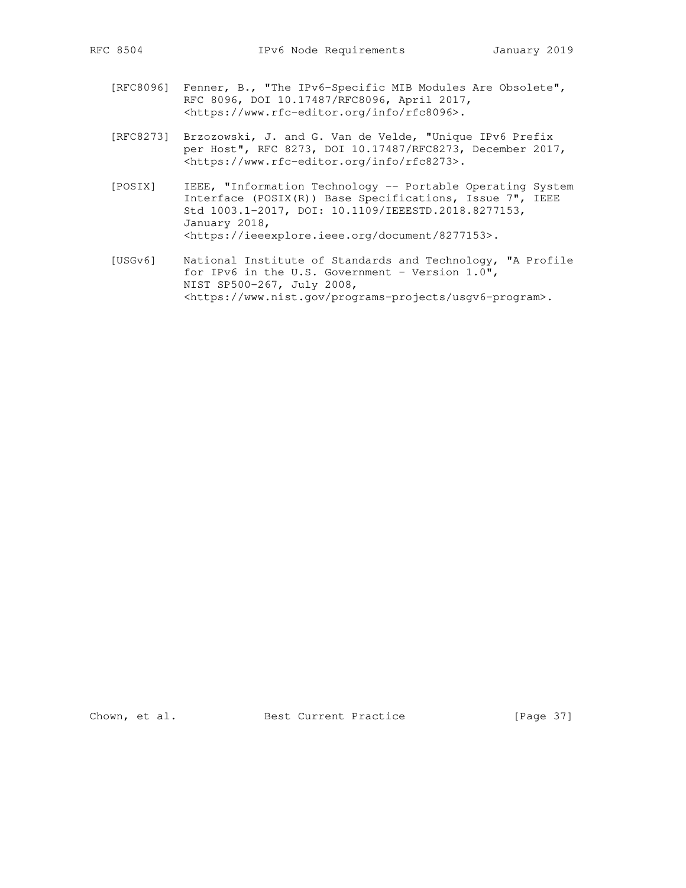- [RFC8096] Fenner, B., "The IPv6-Specific MIB Modules Are Obsolete", RFC 8096, DOI 10.17487/RFC8096, April 2017, <https://www.rfc-editor.org/info/rfc8096>.
- [RFC8273] Brzozowski, J. and G. Van de Velde, "Unique IPv6 Prefix per Host", RFC 8273, DOI 10.17487/RFC8273, December 2017, <https://www.rfc-editor.org/info/rfc8273>.
- [POSIX] IEEE, "Information Technology -- Portable Operating System Interface (POSIX(R)) Base Specifications, Issue 7", IEEE Std 1003.1-2017, DOI: 10.1109/IEEESTD.2018.8277153, January 2018, <https://ieeexplore.ieee.org/document/8277153>.
- [USGv6] National Institute of Standards and Technology, "A Profile for IPv6 in the U.S. Government - Version 1.0", NIST SP500-267, July 2008, <https://www.nist.gov/programs-projects/usgv6-program>.

Chown, et al. Best Current Practice [Page 37]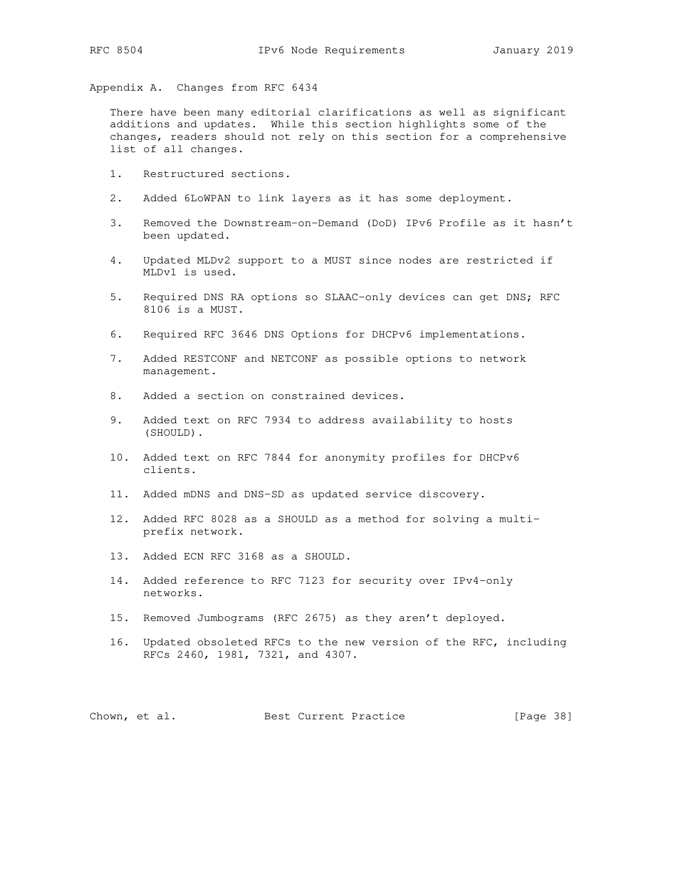Appendix A. Changes from RFC 6434

 There have been many editorial clarifications as well as significant additions and updates. While this section highlights some of the changes, readers should not rely on this section for a comprehensive list of all changes.

- 1. Restructured sections.
- 2. Added 6LoWPAN to link layers as it has some deployment.
- 3. Removed the Downstream-on-Demand (DoD) IPv6 Profile as it hasn't been updated.
- 4. Updated MLDv2 support to a MUST since nodes are restricted if MLDv1 is used.
- 5. Required DNS RA options so SLAAC-only devices can get DNS; RFC 8106 is a MUST.
- 6. Required RFC 3646 DNS Options for DHCPv6 implementations.
- 7. Added RESTCONF and NETCONF as possible options to network management.
- 8. Added a section on constrained devices.
- 9. Added text on RFC 7934 to address availability to hosts (SHOULD).
- 10. Added text on RFC 7844 for anonymity profiles for DHCPv6 clients.
- 11. Added mDNS and DNS-SD as updated service discovery.
- 12. Added RFC 8028 as a SHOULD as a method for solving a multi prefix network.
- 13. Added ECN RFC 3168 as a SHOULD.
- 14. Added reference to RFC 7123 for security over IPv4-only networks.
- 15. Removed Jumbograms (RFC 2675) as they aren't deployed.
- 16. Updated obsoleted RFCs to the new version of the RFC, including RFCs 2460, 1981, 7321, and 4307.

Chown, et al. Best Current Practice [Page 38]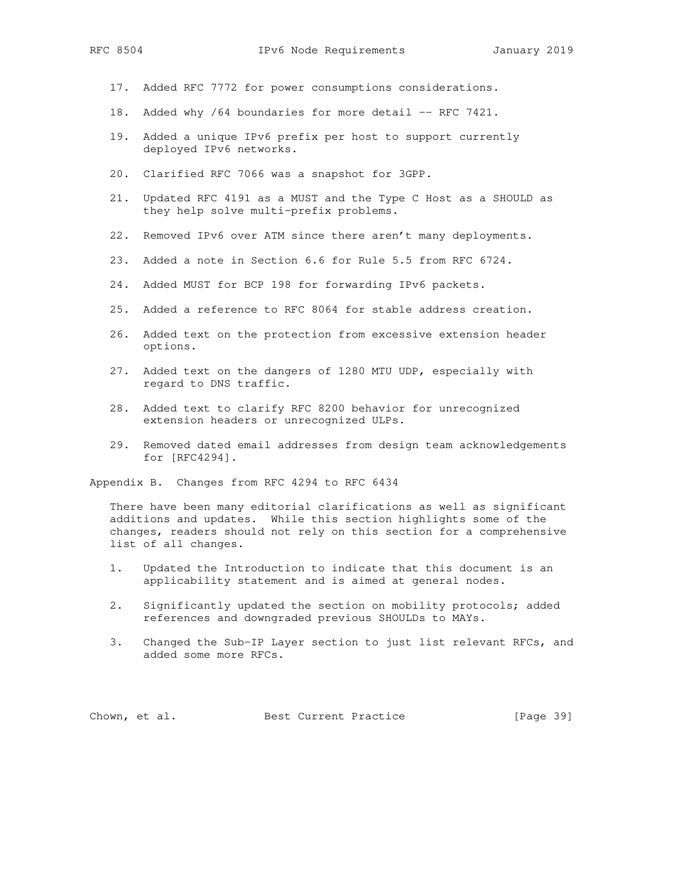- 17. Added RFC 7772 for power consumptions considerations.
- 18. Added why /64 boundaries for more detail -- RFC 7421.
- 19. Added a unique IPv6 prefix per host to support currently deployed IPv6 networks.
- 20. Clarified RFC 7066 was a snapshot for 3GPP.
- 21. Updated RFC 4191 as a MUST and the Type C Host as a SHOULD as they help solve multi-prefix problems.
- 22. Removed IPv6 over ATM since there aren't many deployments.
- 23. Added a note in Section 6.6 for Rule 5.5 from RFC 6724.
- 24. Added MUST for BCP 198 for forwarding IPv6 packets.
- 25. Added a reference to RFC 8064 for stable address creation.
- 26. Added text on the protection from excessive extension header options.
- 27. Added text on the dangers of 1280 MTU UDP, especially with regard to DNS traffic.
- 28. Added text to clarify RFC 8200 behavior for unrecognized extension headers or unrecognized ULPs.
- 29. Removed dated email addresses from design team acknowledgements for [RFC4294].

Appendix B. Changes from RFC 4294 to RFC 6434

 There have been many editorial clarifications as well as significant additions and updates. While this section highlights some of the changes, readers should not rely on this section for a comprehensive list of all changes.

- 1. Updated the Introduction to indicate that this document is an applicability statement and is aimed at general nodes.
- 2. Significantly updated the section on mobility protocols; added references and downgraded previous SHOULDs to MAYs.
- 3. Changed the Sub-IP Layer section to just list relevant RFCs, and added some more RFCs.

Chown, et al. Best Current Practice [Page 39]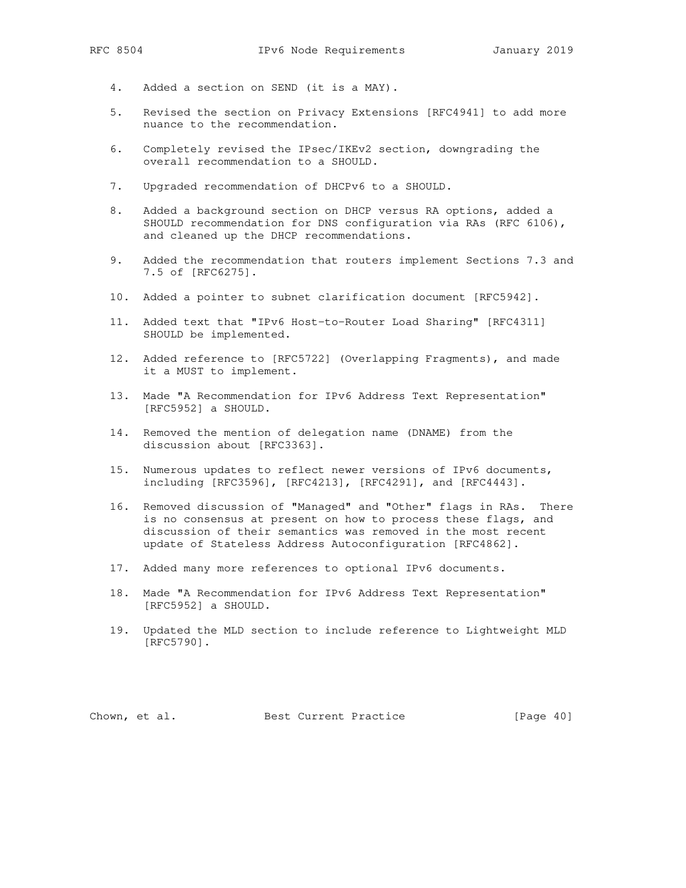- 4. Added a section on SEND (it is a MAY).
- 5. Revised the section on Privacy Extensions [RFC4941] to add more nuance to the recommendation.
- 6. Completely revised the IPsec/IKEv2 section, downgrading the overall recommendation to a SHOULD.
- 7. Upgraded recommendation of DHCPv6 to a SHOULD.
- 8. Added a background section on DHCP versus RA options, added a SHOULD recommendation for DNS configuration via RAs (RFC 6106), and cleaned up the DHCP recommendations.
- 9. Added the recommendation that routers implement Sections 7.3 and 7.5 of [RFC6275].
- 10. Added a pointer to subnet clarification document [RFC5942].
- 11. Added text that "IPv6 Host-to-Router Load Sharing" [RFC4311] SHOULD be implemented.
- 12. Added reference to [RFC5722] (Overlapping Fragments), and made it a MUST to implement.
- 13. Made "A Recommendation for IPv6 Address Text Representation" [RFC5952] a SHOULD.
- 14. Removed the mention of delegation name (DNAME) from the discussion about [RFC3363].
- 15. Numerous updates to reflect newer versions of IPv6 documents, including [RFC3596], [RFC4213], [RFC4291], and [RFC4443].
- 16. Removed discussion of "Managed" and "Other" flags in RAs. There is no consensus at present on how to process these flags, and discussion of their semantics was removed in the most recent update of Stateless Address Autoconfiguration [RFC4862].
- 17. Added many more references to optional IPv6 documents.
- 18. Made "A Recommendation for IPv6 Address Text Representation" [RFC5952] a SHOULD.
- 19. Updated the MLD section to include reference to Lightweight MLD [RFC5790].

Chown, et al. Best Current Practice [Page 40]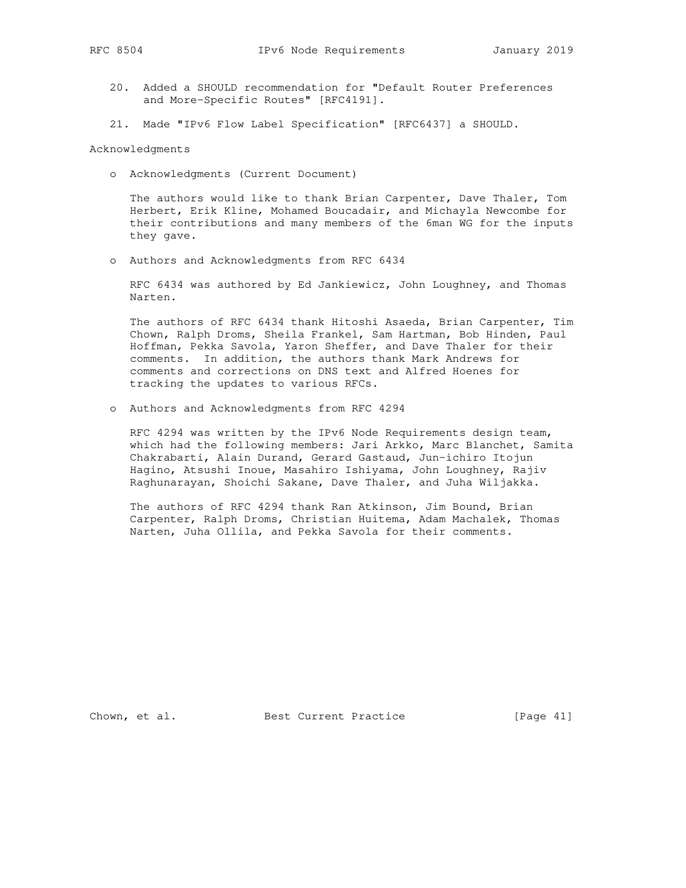- 20. Added a SHOULD recommendation for "Default Router Preferences and More-Specific Routes" [RFC4191].
- 21. Made "IPv6 Flow Label Specification" [RFC6437] a SHOULD.

Acknowledgments

o Acknowledgments (Current Document)

 The authors would like to thank Brian Carpenter, Dave Thaler, Tom Herbert, Erik Kline, Mohamed Boucadair, and Michayla Newcombe for their contributions and many members of the 6man WG for the inputs they gave.

o Authors and Acknowledgments from RFC 6434

 RFC 6434 was authored by Ed Jankiewicz, John Loughney, and Thomas Narten.

 The authors of RFC 6434 thank Hitoshi Asaeda, Brian Carpenter, Tim Chown, Ralph Droms, Sheila Frankel, Sam Hartman, Bob Hinden, Paul Hoffman, Pekka Savola, Yaron Sheffer, and Dave Thaler for their comments. In addition, the authors thank Mark Andrews for comments and corrections on DNS text and Alfred Hoenes for tracking the updates to various RFCs.

o Authors and Acknowledgments from RFC 4294

 RFC 4294 was written by the IPv6 Node Requirements design team, which had the following members: Jari Arkko, Marc Blanchet, Samita Chakrabarti, Alain Durand, Gerard Gastaud, Jun-ichiro Itojun Hagino, Atsushi Inoue, Masahiro Ishiyama, John Loughney, Rajiv Raghunarayan, Shoichi Sakane, Dave Thaler, and Juha Wiljakka.

 The authors of RFC 4294 thank Ran Atkinson, Jim Bound, Brian Carpenter, Ralph Droms, Christian Huitema, Adam Machalek, Thomas Narten, Juha Ollila, and Pekka Savola for their comments.

Chown, et al. Best Current Practice [Page 41]